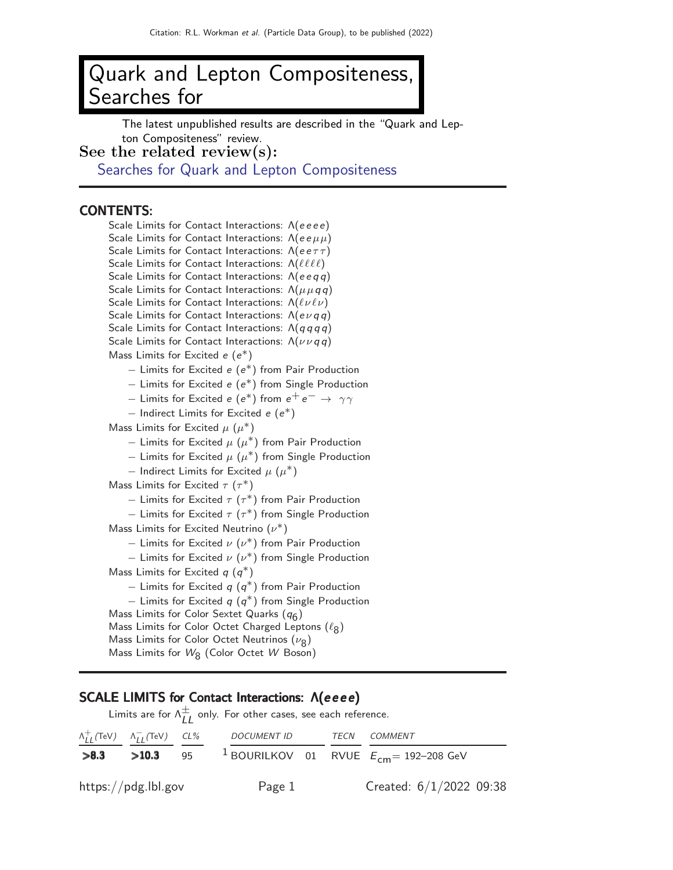# Quark and Lepton Compositeness, Searches for

The latest unpublished results are described in the "Quark and Lepton Compositeness" review.

See the related review(s):

[Searches for Quark and Lepton Compositeness](http://pdg.lbl.gov/2022/reviews/rpp2021-rev-searches-quark-lep-compositeness.pdf)

## CONTENTS:

Scale Limits for Contact Interactions: Λ(eeee) Scale Limits for Contact Interactions:  $Λ(eeμμ)$ Scale Limits for Contact Interactions:  $\Lambda(ee\tau\tau)$ Scale Limits for Contact Interactions: Λ( $\ell\ell\ell\ell$ ) Scale Limits for Contact Interactions: Λ(eeqq) Scale Limits for Contact Interactions:  $\Lambda(\mu \mu q q)$ Scale Limits for Contact Interactions:  $\Lambda(\ell\nu\ell\nu)$ Scale Limits for Contact Interactions:  $\Lambda(e \nu q q)$ Scale Limits for Contact Interactions:  $\Lambda(q\,q\,q\,q)$ Scale Limits for Contact Interactions:  $\Lambda(\nu\nu q\,q)$ 

Mass Limits for Excited  $e(e^*)$ 

- − Limits for Excited e (e ∗) from Pair Production
- − Limits for Excited e (e ∗) from Single Production
- $-$  Limits for Excited  $e$   $(e^*)$  from  $e^+e^-\rightarrow~\gamma\gamma$
- $-$  Indirect Limits for Excited  $e(e^*)$

Mass Limits for Excited  $\mu$   $(\mu^*)$ 

- $-$  Limits for Excited  $\mu$   $(\mu^*)$  from Pair Production
- $-$  Limits for Excited  $\mu$   $(\mu^*)$  from Single Production
- $-$  Indirect Limits for Excited  $\mu$   $(\mu^*)$

Mass Limits for Excited  $\tau$  ( $\tau^*$ )

- $-$  Limits for Excited  $\tau$   $(\tau^*)$  from Pair Production
- $-$  Limits for Excited  $\tau$   $(\tau^*)$  from Single Production

Mass Limits for Excited Neutrino  $(\nu^*)$ 

- $-$  Limits for Excited  $\nu$   $(\nu^*)$  from Pair Production
- $-$  Limits for Excited  $\nu(\nu^*)$  from Single Production

Mass Limits for Excited  $q(q^*)$ 

 $-$  Limits for Excited  $q(q^*)$  from Pair Production

 $-$  Limits for Excited  $q(q^*)$  from Single Production

Mass Limits for Color Sextet Quarks  $(q_6)$ 

Mass Limits for Color Octet Charged Leptons  $(\ell_8)$ 

- Mass Limits for Color Octet Neutrinos  $(\nu_8)$
- Mass Limits for  $W_8$  (Color Octet  $W$  Boson)

## SCALE LIMITS for Contact Interactions:  $Λ(eeee)$

|      |                     | Limits are for $\Lambda_{IJ}^{\pm}$ only. For other cases, see each reference. |                           |
|------|---------------------|--------------------------------------------------------------------------------|---------------------------|
|      |                     | $\Lambda_{II}^+$ (TeV) $\Lambda_{II}^-$ (TeV) CL% DOCUMENT ID TECN COMMENT     |                           |
| >8.3 | $>10.3$ 95          | <sup>1</sup> BOURILKOV 01 RVUE $E_{cm}$ = 192-208 GeV                          |                           |
|      | https://pdg.lbl.gov | Page 1                                                                         | Created: $6/1/2022$ 09:38 |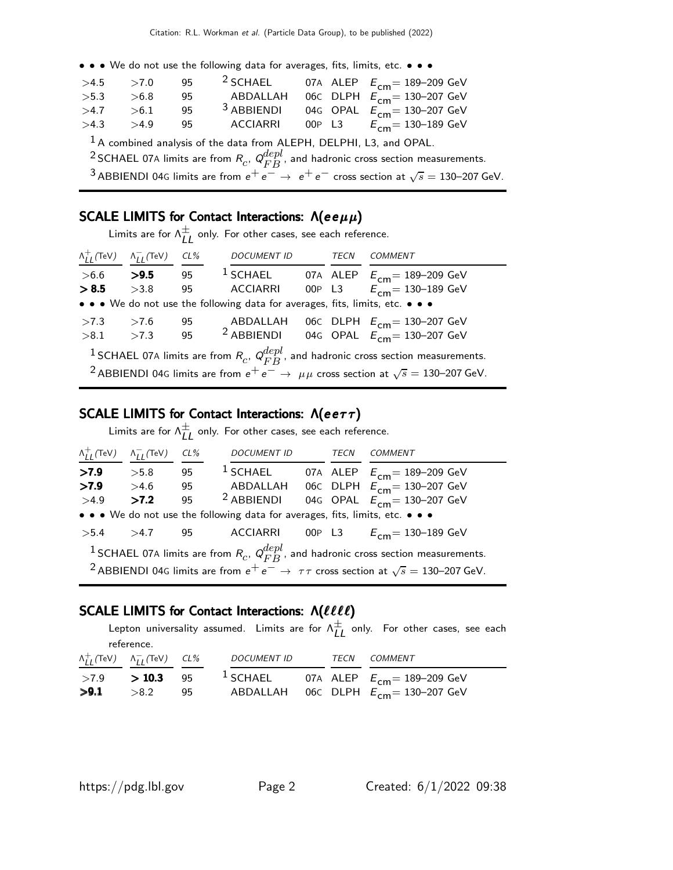• • • We do not use the following data for averages, fits, limits, etc. • • •

| >4.5                                                                  | >7.0 | 95  | <sup>2</sup> SCHAEL   |  |  | 07A ALEP $E_{cm} = 189 - 209$ GeV |  |
|-----------------------------------------------------------------------|------|-----|-----------------------|--|--|-----------------------------------|--|
| >5.3                                                                  | >6.8 | 95  | ABDALLAH              |  |  | 06C DLPH $E_{cm} = 130 - 207$ GeV |  |
| >4.7                                                                  | >6.1 | 95  | <sup>3</sup> ABBIENDI |  |  | 04G OPAL $E_{cm} = 130 - 207$ GeV |  |
| >4.3                                                                  | >4.9 | 95. | ACCIARRI              |  |  | 00P L3 $E_{cm} = 130-189$ GeV     |  |
| $1$ A combined analysis of the data from ALEPH, DELPHI, L3, and OPAL. |      |     |                       |  |  |                                   |  |

<sup>2</sup> SCHAEL 07A limits are from  $R_c$ ,  $Q_{FB}^{depl}$ , and hadronic cross section measurements.

 $^3$ ABBIENDI 04G limits are from  $e^+e^-\rightarrow\ e^+e^-$  cross section at  $\sqrt{s}=$  130–207 GeV.

# SCALE LIMITS for Contact Interactions:  $\Lambda(ee\mu\mu)$

Limits are for  $\Lambda_{LL}^{\pm}$  only. For other cases, see each reference.

| $\Lambda_{II}^+$ (TeV) | $\Lambda_{II}^-$ (TeV) | $CL\%$ | <b>DOCUMENT ID</b>                                                            | TECN | COMMENT                                                                                                                                                                                                                        |
|------------------------|------------------------|--------|-------------------------------------------------------------------------------|------|--------------------------------------------------------------------------------------------------------------------------------------------------------------------------------------------------------------------------------|
| > 6.6                  | >9.5                   | 95     |                                                                               |      | <sup>1</sup> SCHAEL 07A ALEP $E_{cm}$ = 189-209 GeV                                                                                                                                                                            |
| > 8.5                  | >3.8                   | 95     | ACCIARRI                                                                      |      | 00P L3 $E_{cm} = 130 - 189$ GeV                                                                                                                                                                                                |
|                        |                        |        | • • • We do not use the following data for averages, fits, limits, etc. • • • |      |                                                                                                                                                                                                                                |
| >7.3                   | >7.6                   | 95     |                                                                               |      | ABDALLAH 06C DLPH $E_{cm}$ = 130-207 GeV                                                                                                                                                                                       |
| > 8.1                  | >7.3                   |        |                                                                               |      | 95 <sup>2</sup> ABBIENDI 04G OPAL $E_{cm} = 130-207$ GeV                                                                                                                                                                       |
|                        |                        |        |                                                                               |      | <sup>1</sup> SCHAEL 07A limits are from $R_c$ , $Q_{FB}^{depl}$ , and hadronic cross section measurements.<br><sup>2</sup> ABBIENDI 04G limits are from $e^+e^- \rightarrow \mu\mu$ cross section at $\sqrt{s} = 130-207$ GeV. |

# SCALE LIMITS for Contact Interactions:  $\Lambda(ee\tau\tau)$

Limits are for  $\Lambda_{LL}^{\pm}$  only. For other cases, see each reference.

| $\Lambda^+_{II}$ (TeV) | $\Lambda_{II}^-$ (TeV) | $CL\%$ | <b>DOCUMENT ID</b>                                                            | TECN | COMMENT                                                                                                                                                                                                                          |
|------------------------|------------------------|--------|-------------------------------------------------------------------------------|------|----------------------------------------------------------------------------------------------------------------------------------------------------------------------------------------------------------------------------------|
| >7.9                   | >5.8                   | 95     |                                                                               |      | <sup>1</sup> SCHAEL 07A ALEP $E_{cm}$ = 189-209 GeV                                                                                                                                                                              |
| >7.9                   | >4.6                   | 95     |                                                                               |      | ABDALLAH 06C DLPH $E_{cm} = 130-207$ GeV                                                                                                                                                                                         |
| >4.9                   | >7.2                   | 95     | <sup>2</sup> ABBIENDI                                                         |      | 04G OPAL $E_{cm} = 130 - 207$ GeV                                                                                                                                                                                                |
|                        |                        |        | • • • We do not use the following data for averages, fits, limits, etc. • • • |      |                                                                                                                                                                                                                                  |
| >5.4                   | $>4.7$ 95              |        |                                                                               |      | ACCIARRI 00P L3 $E_{cm} = 130-189$ GeV                                                                                                                                                                                           |
|                        |                        |        |                                                                               |      | <sup>1</sup> SCHAEL 07A limits are from $R_c$ , $Q_{FB}^{depl}$ , and hadronic cross section measurements.<br><sup>2</sup> ABBIENDI 04G limits are from $e^+e^- \rightarrow \tau\tau$ cross section at $\sqrt{s} = 130-207$ GeV. |

# SCALE LIMITS for Contact Interactions: Λ(llll)

Lepton universality assumed. Limits are for  $\Lambda_{LL}^{\pm}$  only. For other cases, see each reference.

|      | $\Lambda_{II}^+$ (TeV) $\Lambda_{II}^-$ (TeV) CL% | DOCUMENT ID |  | <i>TECN COMMENT</i>                                                                                            |
|------|---------------------------------------------------|-------------|--|----------------------------------------------------------------------------------------------------------------|
| >9.1 | $>8.2$ 95                                         |             |  | >7.9 > 10.3 95 <sup>1</sup> SCHAEL 07A ALEP $E_{cm} = 189-209$ GeV<br>ABDALLAH 06C DLPH $E_{cm}$ = 130–207 GeV |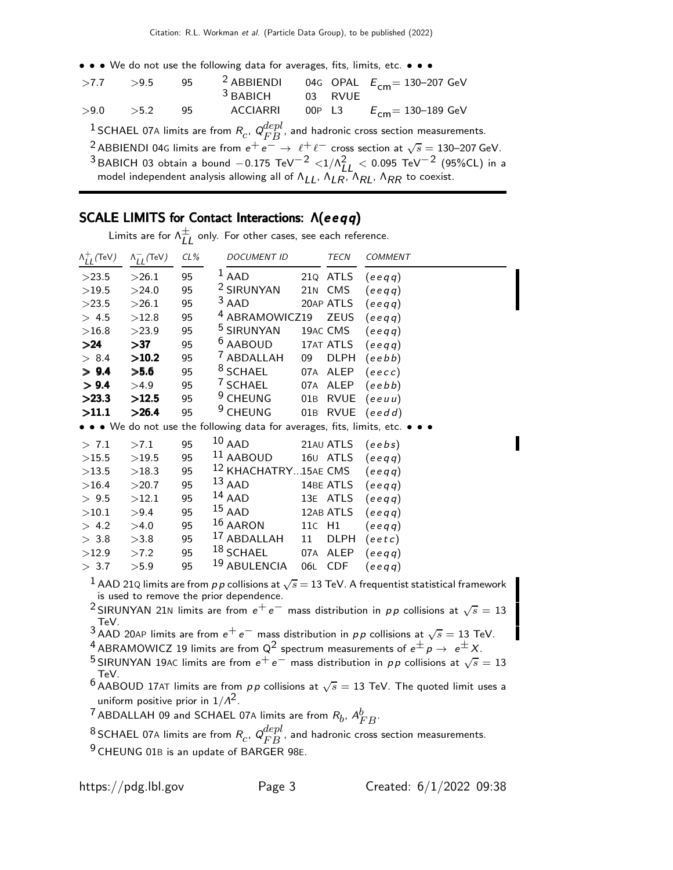• • • We do not use the following data for averages, fits, limits, etc. • • •

| $>7.7$ $>9.5$                                                                                                            |                                                                                                            | 95 | <sup>2</sup> ABBIENDI |  |         | 04G OPAL $E_{cm} = 130 - 207$ GeV                                                                                        |  |  |  |
|--------------------------------------------------------------------------------------------------------------------------|------------------------------------------------------------------------------------------------------------|----|-----------------------|--|---------|--------------------------------------------------------------------------------------------------------------------------|--|--|--|
|                                                                                                                          |                                                                                                            |    | $3$ BABICH            |  | 03 RVUE |                                                                                                                          |  |  |  |
| >9.0                                                                                                                     | >5.2                                                                                                       | 95 | <b>ACCIARRI</b>       |  |         | 00P L3 $E_{cm} = 130 - 189$ GeV                                                                                          |  |  |  |
|                                                                                                                          | <sup>1</sup> SCHAEL 07A limits are from $R_c$ , $Q_{FB}^{depl}$ , and hadronic cross section measurements. |    |                       |  |         |                                                                                                                          |  |  |  |
|                                                                                                                          |                                                                                                            |    |                       |  |         | <sup>2</sup> ABBIENDI 04G limits are from $e^+e^- \rightarrow \ell^+ \ell^-$ cross section at $\sqrt{s} = 130-207$ GeV.  |  |  |  |
| <sup>3</sup> BABICH 03 obtain a bound $-0.175 \text{ TeV}^{-2} < 1/\Lambda_{11}^2 < 0.095 \text{ TeV}^{-2}$ (95%CL) in a |                                                                                                            |    |                       |  |         |                                                                                                                          |  |  |  |
|                                                                                                                          |                                                                                                            |    |                       |  |         | model independent analysis allowing all of $\Lambda_{II}$ , $\Lambda_{IR}$ , $\Lambda_{RI}$ , $\Lambda_{RR}$ to coexist. |  |  |  |

# SCALE LIMITS for Contact Interactions: Λ(eeqq)

Limits are for  $\bigwedge_{LL}^{\pm}$  only. For other cases, see each reference.

| $\Lambda_{II}^{+}$ (TeV) | $\Lambda_{II}^-$ (TeV) | $CL\%$ | <b>DOCUMENT ID</b>                                                            |        | <b>TECN</b> | <b>COMMENT</b>                                                                                         |
|--------------------------|------------------------|--------|-------------------------------------------------------------------------------|--------|-------------|--------------------------------------------------------------------------------------------------------|
| >23.5                    | >26.1                  | 95     | $1$ AAD                                                                       |        | 21Q ATLS    | (eeqq)                                                                                                 |
| >19.5                    | >24.0                  | 95     | <sup>2</sup> SIRUNYAN                                                         |        | 21N CMS     | (eeqq)                                                                                                 |
| >23.5                    | >26.1                  | 95     | $3$ AAD                                                                       |        | 20AP ATLS   | (eeqq)                                                                                                 |
| > 4.5                    | >12.8                  | 95     | <sup>4</sup> ABRAMOWICZ19                                                     |        | <b>ZEUS</b> | (eeqq)                                                                                                 |
| >16.8                    | >23.9                  | 95     | <sup>5</sup> SIRUNYAN                                                         |        | 19AC CMS    | (eeqq)                                                                                                 |
| >24                      | >137                   | 95     | <sup>6</sup> AABOUD                                                           |        | 17AT ATLS   | (eeqq)                                                                                                 |
| > 8.4                    | >10.2                  | 95     | $^7$ ABDALLAH                                                                 | 09     | <b>DLPH</b> | (eebb)                                                                                                 |
| > 9.4                    | >5.6                   | 95     | <sup>8</sup> SCHAEL                                                           |        | 07A ALEP    | (exec)                                                                                                 |
| > 9.4                    | >4.9                   | 95     | <sup>7</sup> SCHAEL                                                           |        | 07A ALEP    | (eebb)                                                                                                 |
| >23.3                    | >12.5                  | 95     | $9$ CHEUNG                                                                    |        | 01B RVUE    | (eeuu)                                                                                                 |
| >11.1                    | >26.4                  | 95     | <sup>9</sup> CHEUNG                                                           |        |             | 01B RVUE $(eedd)$                                                                                      |
|                          |                        |        | • • • We do not use the following data for averages, fits, limits, etc. • • • |        |             |                                                                                                        |
| > 7.1                    | >7.1                   | 95     | $10$ AAD                                                                      |        |             | 21AU ATLS $(eebs)$                                                                                     |
| >15.5                    | >19.5                  | 95     | $11$ AABOUD                                                                   |        | 160 ATLS    | (eeqq)                                                                                                 |
| >13.5                    | >18.3                  | 95     | <sup>12</sup> KHACHATRY15AE CMS                                               |        |             | (eeqq)                                                                                                 |
| >16.4                    | >20.7                  | 95     | $13$ AAD                                                                      |        |             | 14BE ATLS $(eeqq)$                                                                                     |
| > 9.5                    | >12.1                  | 95     | $^{14}$ AAD                                                                   |        | 13E ATLS    | (eeqq)                                                                                                 |
| >10.1                    | >9.4                   | 95     | $15$ AAD                                                                      |        | 12AB ATLS   | (ee q q)                                                                                               |
| > 4.2                    | >4.0                   | 95     | $16$ AARON                                                                    | 11c H1 |             | (eeqq)                                                                                                 |
| > 3.8                    | >3.8                   | 95     | <sup>17</sup> ABDALLAH                                                        | 11     | DLPH        | (eet c)                                                                                                |
| >12.9                    | >7.2                   | 95     | $18$ SCHAEL                                                                   |        | 07A ALEP    | (eeqq)                                                                                                 |
| > 3.7                    | >5.9                   | 95     | <sup>19</sup> ABULENCIA                                                       |        | 06L CDF     | (eeqq)                                                                                                 |
|                          |                        |        |                                                                               |        |             | $1$ AAD 210 limits are from n n sellisions at $\sqrt{6}$ = 13 TeV. A frequentiet statistical framework |

 $^1$  AAD 21Q limits are from  $\rho\, \rho$  collisions at  $\sqrt{s} = 13$  TeV. A frequentist statistical framework is used to remove the prior dependence.

 $^2$ SIRUNYAN 21N limits are from  $e^+ \, e^-$  mass distribution in  $\rho \rho$  collisions at  $\sqrt{s} = 13$ 

TeV.<br><sup>3</sup> AAD 20AP limits are from  $e^+e^-$  mass distribution in *pp* collisions at √s = 13 TeV.

 $^4$  ABRAMOWICZ 19 limits are from Q<sup>2</sup> spectrum measurements of  $e^\pm\,p\rightarrow\;e^\pm\,X.$ 

 $^5$ SIRUNYAN 19AC limits are from  $e^+ \, e^-$  mass distribution in  $\rho \, \rho$  collisions at  $\sqrt{s} = 13$ TeV.

 $^6$  AABOUD 17AT limits are from  $pp$  collisions at  $\sqrt{s}=13$  TeV. The quoted limit uses a uniform positive prior in  $1/\Lambda^2$ .

<sup>7</sup> ABDALLAH 09 and SCHAEL 07A limits are from  $R_b$ ,  $A_{FB}^b$ .

 $^8$ SCHAEL 07A limits are from  $R_c$ ,  $Q_{FB}^{depl}$ , and hadronic cross section measurements.

9 CHEUNG 01<sup>B</sup> is an update of BARGER 98E.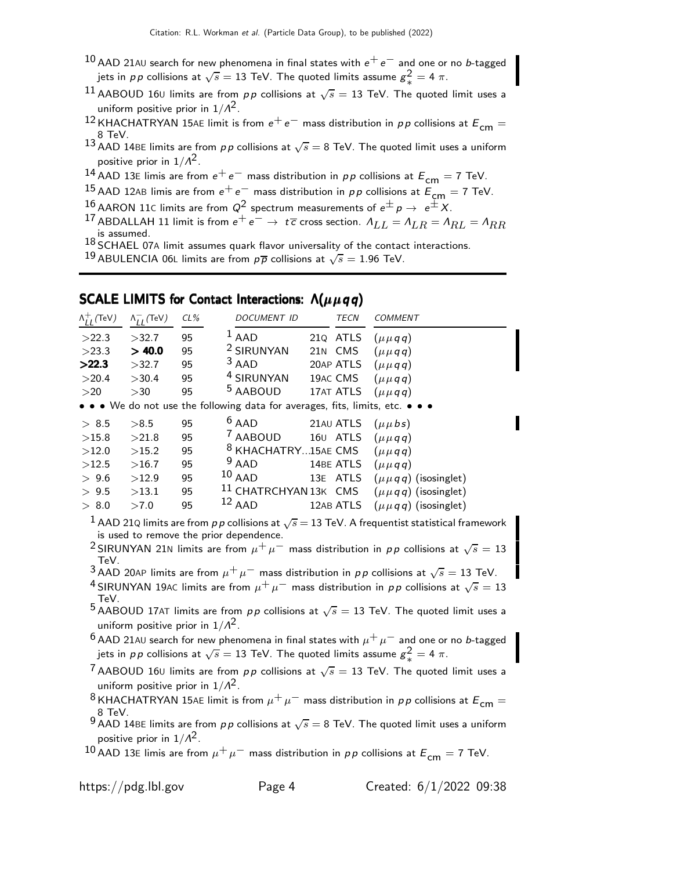- $10$  AAD 21AU search for new phenomena in final states with  $e^+e^-$  and one or no b-tagged jets in  $pp$  collisions at  $\sqrt{s}=13$  TeV. The quoted limits assume  $g_{\omega}^2=4\;\pi.$
- 11 AABOUD 160 limits are from pp collisions at  $\sqrt{s} = 13$  TeV. The quoted limit uses a uniform positive prior in  $1/\Lambda^2$ .
- 12 KHACHATRYAN 15AE limit is from  $e^+e^-$  mass distribution in pp collisions at  $E_{cm} =$ 8 TeV.
- $^{13}$  AAD 14BE limits are from  $p\,p$  collisions at  $\sqrt{s}=$  8 TeV. The quoted limit uses a uniform positive prior in  $1/\Lambda^2$  .
- 14 AAD 13E limis are from  $e^+e^-$  mass distribution in pp collisions at  $E_{cm} = 7$  TeV.
- 15 AAD 12AB limis are from  $e^+e^-$  mass distribution in  $pp$  collisions at  $E_{cm} = 7$  TeV.
- 16 AARON 11C limits are from  $Q^2$  spectrum measurements of  $e^{\pm}p \rightarrow e^{\pm}X$ .
- 17 ABDALLAH 11 limit is from  $e^+e^- \rightarrow t\overline{c}$  cross section.  $A_{LL} = A_{LR} = A_{RL} = A_{RR}$ is assumed.<br> $^{18}$  SCHAEL 07A limit assumes quark flavor universality of the contact interactions.
- 
- <sup>19</sup> ABULENCIA 06L limits are from  $p\overline{p}$  collisions at  $\sqrt{s} = 1.96$  TeV.

## SCALE LIMITS for Contact Interactions:  $\Lambda(\mu \mu q q)$

| $\Lambda_{II}^+$ (TeV) | $\Lambda_{II}^-$ (TeV) | CL% | DOCUMENT ID                                                                   | <b>TECN</b> | <i>COMMENT</i>               |
|------------------------|------------------------|-----|-------------------------------------------------------------------------------|-------------|------------------------------|
| >22.3                  | >32.7                  | 95  | $1$ AAD                                                                       | 210 ATLS    | $(\mu \mu q q)$              |
| >23.3                  | > 40.0                 | 95  | <sup>2</sup> SIRUNYAN                                                         | 21N CMS     | $(\mu \mu q q)$              |
| >22.3                  | >32.7                  | 95  | $3$ AAD                                                                       | 20AP ATLS   | $(\mu \mu q q)$              |
| >20.4                  | >30.4                  | 95  | <sup>4</sup> SIRUNYAN                                                         | 19AC CMS    | $(\mu \mu q q)$              |
| >20                    | >30                    | 95  | <sup>5</sup> AABOUD                                                           | 17AT ATLS   | $(\mu \mu q q)$              |
|                        |                        |     | • • • We do not use the following data for averages, fits, limits, etc. • • • |             |                              |
| > 8.5                  | >8.5                   | 95  | $6$ AAD                                                                       | 21AU ATLS   | $(\mu \mu bs)$               |
| >15.8                  | >21.8                  | 95  | $^7$ AABOUD                                                                   | 160 ATLS    | $(\mu \mu q q)$              |
| >12.0                  | >15.2                  | 95  | <sup>8</sup> KHACHATRY15AE CMS                                                |             | $(\mu \mu q q)$              |
| >12.5                  | >16.7                  | 95  | $9$ AAD                                                                       | 14BE ATLS   | $(\mu \mu q q)$              |
| > 9.6                  | >12.9                  | 95  | $10$ AAD                                                                      | 13E ATLS    | $(\mu \mu q q)$ (isosinglet) |
| > 9.5                  | >13.1                  | 95  | 11 CHATRCHYAN 13K CMS                                                         |             | $(\mu \mu q q)$ (isosinglet) |
| > 8.0                  | >7.0                   | 95  | $12$ AAD                                                                      | 12AB ATLS   | $(\mu \mu q q)$ (isosinglet) |
|                        |                        |     |                                                                               |             |                              |

 $^1$  AAD 21Q limits are from  $p\,p$  collisions at  $\sqrt{s}$   $=$  13 TeV. A frequentist statistical framework is used to remove the prior dependence.

 $^2$ SIRUNYAN 21<code>N</code> limits are from  $\mu^+ \mu^-$  mass distribution in  $\rho \rho$  collisions at  $\sqrt{s} = 13$ TeV.<br><sup>3</sup> AAD 20AP limits are from  $\mu^+ \mu^-$  mass distribution in  $\rho \, \rho$  collisions at  $\sqrt{s}=$  13 TeV.

- 
- $^4$ SIRUNYAN 19AC limits are from  $\mu^+ \mu^-$  mass distribution in  $\rho \rho$  collisions at  $\sqrt{s} = 13$ TeV.

5 AABOUD 17AT limits are from  $pp$  collisions at  $\sqrt{s} = 13$  TeV. The quoted limit uses a uniform positive prior in  $1/\Lambda^2$ .

 $^6$  AAD 21AU search for new phenomena in final states with  $\mu^+ \, \mu^-$  and one or no b-tagged jets in  $pp$  collisions at  $\sqrt{s}=13$  TeV. The quoted limits assume  $g_{\omega}^2=4\;\pi.$ 

T<br>AABOUD 16∪ limits are from pp collisions at  $\sqrt{s} = 13$  TeV. The quoted limit uses a uniform positive prior in  $1/\Lambda^2$ .

<sup>8</sup> KHACHATRYAN 15AE limit is from  $\mu^+ \mu^-$  mass distribution in pp collisions at  $E_{cm} =$ 8 TeV.

9 AAD 14BE limits are from  $p \, p$  collisions at  $\sqrt{s} = 8$  TeV. The quoted limit uses a uniform positive prior in  $1/\Lambda^2$ .

10 AAD 13E limis are from  $\mu^+ \mu^-$  mass distribution in pp collisions at  $E_{cm} = 7$  TeV.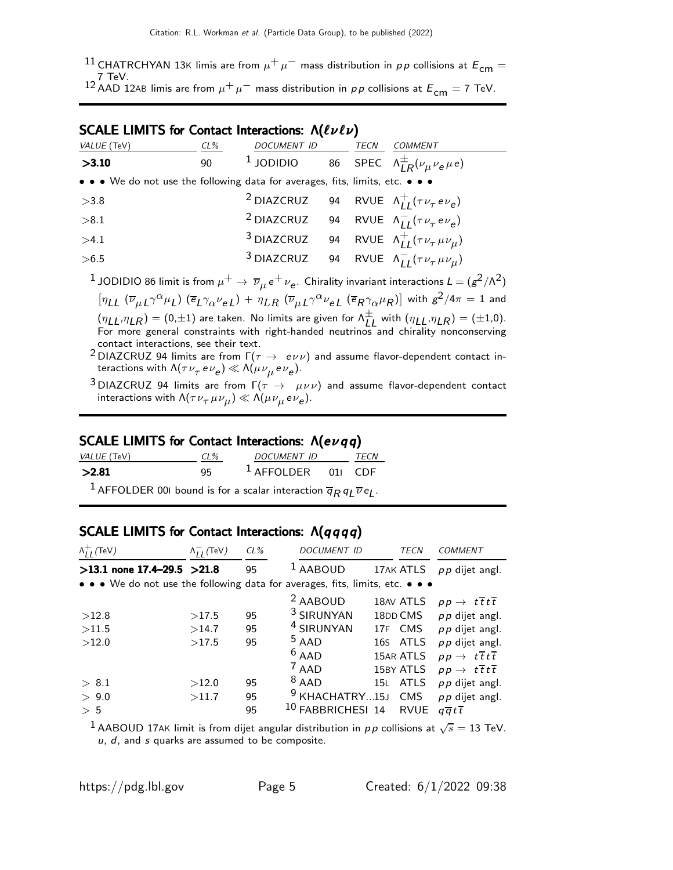11 CHATRCHYAN 13K limis are from  $\mu^+ \mu^-$  mass distribution in pp collisions at  $E_{cm} =$ 7 TeV.<br><sup>12</sup> AAD 12AB limis are from  $\mu^+ \mu^-$  mass distribution in  $\rho \rho$  collisions at  $E^{}_{\mathsf{cm}} =$  7 TeV.

## SCALE LIMITS for Contact Interactions: Λ( $\ell\nu\ell\nu$ )

| VALUE (TeV)                                                                   | CL% | DOCUMENT ID                                                                  | TECN | <b>COMMENT</b>                                                                                                                                                                                                                    |
|-------------------------------------------------------------------------------|-----|------------------------------------------------------------------------------|------|-----------------------------------------------------------------------------------------------------------------------------------------------------------------------------------------------------------------------------------|
| >3.10                                                                         | 90  | <sup>1</sup> JODIDIO 86 SPEC $\Lambda_{LR}^{\pm}(\nu_{\mu}\nu_{e}\mu_{e})$   |      |                                                                                                                                                                                                                                   |
| • • • We do not use the following data for averages, fits, limits, etc. • • • |     |                                                                              |      |                                                                                                                                                                                                                                   |
| >3.8                                                                          |     | <sup>2</sup> DIAZCRUZ 94 RVUE $\Lambda_{II}^+(\tau\nu_\tau e\nu_e)$          |      |                                                                                                                                                                                                                                   |
| > 8.1                                                                         |     | <sup>2</sup> DIAZCRUZ 94 RVUE $\Lambda_{II}^-$ ( $\tau \nu_{\tau} e \nu_e$ ) |      |                                                                                                                                                                                                                                   |
| >4.1                                                                          |     | <sup>3</sup> DIAZCRUZ 94 RVUE $\Lambda_{II}^+(\tau \nu_\tau \mu \nu_\mu)$    |      |                                                                                                                                                                                                                                   |
| >6.5                                                                          |     | <sup>3</sup> DIAZCRUZ 94 RVUE $\Lambda_{II}^- (\tau \nu_\tau \mu \nu_\mu)$   |      |                                                                                                                                                                                                                                   |
|                                                                               |     |                                                                              |      | $^{-1}$ JODIDIO 86 limit is from $\mu^+ \to \overline{\nu}_\mu e^+ \nu_e$ . Chirality invariant interactions $L=(g^2/\Lambda^2)$                                                                                                  |
|                                                                               |     |                                                                              |      | $[\eta_{LL} (\overline{\nu}_{\mu L} \gamma^{\alpha} \mu_L) (\overline{e}_L \gamma_{\alpha} \nu_e_L) + \eta_{LR} (\overline{\nu}_{\mu L} \gamma^{\alpha} \nu_{eL} (\overline{e}_R \gamma_{\alpha} \mu_R)]$ with $g^2/4\pi = 1$ and |

 $(\eta_{LL}, \eta_{LR}) = (0, \pm 1)$  are taken. No limits are given for  $\Lambda_{LL}^{\pm}$  with  $(\eta_{LL}, \eta_{LR}) = (\pm 1, 0)$ . For more general constraints with right-handed neutrinos and chirality nonconserving contact interactions, see their text.

<sup>2</sup> DIAZCRUZ 94 limits are from  $\Gamma(\tau \to e \nu \nu)$  and assume flavor-dependent contact interactions with  $\Lambda(\tau\,\nu_\tau\,e\nu_{\bm e})\ll\Lambda(\mu\,\nu_\mu\,e\,\nu_{\bm e}).$ 

<sup>3</sup> DIAZCRUZ 94 limits are from  $\Gamma(\tau \to \mu \nu \nu)$  and assume flavor-dependent contact interactions with  $\Lambda(\tau\nu_\tau\mu\nu_\mu)\ll \Lambda(\mu\nu_\mu\, e\nu_{\bm e}).$ 

#### SCALE LIMITS for Contact Interactions: Λ(evqq)

| VALUE (TeV) | $CL\%$ | DOCUMENT ID          | <b>TFCN</b> |
|-------------|--------|----------------------|-------------|
| >2.81       | 95.    | $1$ AFFOLDER 011 CDF |             |
|             |        |                      |             |

 $^1$  AFFOLDER 001 bound is for a scalar interaction  $\overline{q}_R q_L \overline{\nu} e_L$ .

# SCALE LIMITS for Contact Interactions:  $Λ(qqqq)$

| $\Lambda_{II}^{+}$ (TeV)                                                      | $\Lambda_{LL}^-$ (TeV) | CL% | <b>DOCUMENT ID</b>        | TECN        | <b>COMMENT</b>                                 |
|-------------------------------------------------------------------------------|------------------------|-----|---------------------------|-------------|------------------------------------------------|
| $>13.1$ none 17.4-29.5 $>21.8$                                                |                        | 95  | <b>AABOUD</b>             | 17AK ATLS   | $pp$ dijet angl.                               |
| • • • We do not use the following data for averages, fits, limits, etc. • • • |                        |     |                           |             |                                                |
|                                                                               |                        |     | <sup>2</sup> AABOUD       | 18AV ATLS   | $pp \rightarrow t \overline{t} t \overline{t}$ |
| >12.8                                                                         | >17.5                  | 95  | <sup>3</sup> SIRUNYAN     | 18DD CMS    | $pp$ dijet angl.                               |
| >11.5                                                                         | >14.7                  | 95  | <sup>4</sup> SIRUNYAN     | 17F CMS     | $pp$ dijet angl.                               |
| >12.0                                                                         | >17.5                  | 95  | $5$ AAD                   | 16S ATLS    | $pp$ dijet angl.                               |
|                                                                               |                        |     | $6$ AAD                   | 15AR ATLS   | $pp \rightarrow t \overline{t} t \overline{t}$ |
|                                                                               |                        |     | $7$ AAD                   | 15BY ATLS   | $pp \rightarrow t \overline{t} t \overline{t}$ |
| > 8.1                                                                         | >12.0                  | 95  | $8$ AAD                   | 15L ATLS    | $pp$ dijet angl.                               |
| > 9.0                                                                         | >11.7                  | 95  | <sup>9</sup> KHACHATRY15J | CMS         | $pp$ dijet angl.                               |
| > 5                                                                           |                        | 95  | FABBRICHESI 14            | <b>RVUE</b> | $q\overline{q}t\overline{t}$                   |

 $^1$  AABOUD 17AK limit is from dijet angular distribution in  $p\,p$  collisions at  $\sqrt{s}=$  13 TeV.  $u, d$ , and  $s$  quarks are assumed to be composite.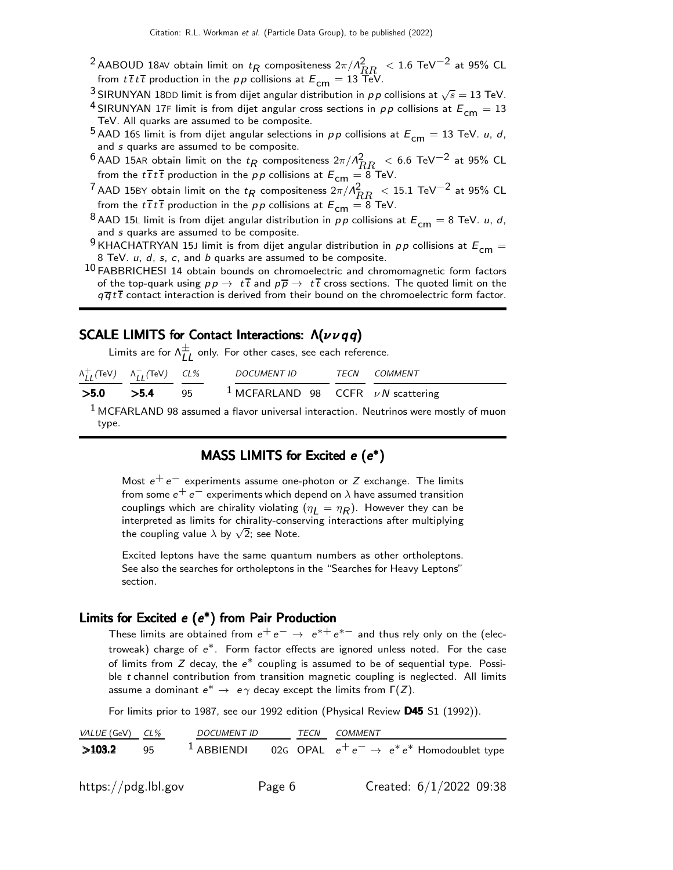- $^2$ AABOUD 18AV obtain limit on  $t_R$  compositeness  $2\pi/R_R^2 < 1.6$  TeV $^{-2}$  at 95% CL from  $t\bar{t}t\bar{t}$  production in the pp collisions at  $E_{cm} = 13 \text{ TeV}$ .
- <sup>3</sup> SIRUNYAN 18DD limit is from dijet angular distribution in pp collisions at  $\sqrt{s} = 13$  TeV.
- <sup>4</sup> SIRUNYAN 17F limit is from dijet angular cross sections in pp collisions at  $E_{cm} = 13$ TeV. All quarks are assumed to be composite.
- <sup>5</sup> AAD 16S limit is from dijet angular selections in pp collisions at  $E_{cm} = 13$  TeV. *u*, *d*, and s quarks are assumed to be composite.
- $^6$  AAD 15AR obtain limit on the  $t_R$  compositeness  $2\pi/A_{RR}^2 < 6.6$  TeV $^{-2}$  at 95% CL from the  $t\bar{t}t\bar{t}$  production in the pp collisions at  $E_{cm} = 8$  TeV.
- <sup>7</sup> AAD 15BY obtain limit on the  $t_R$  compositeness  $2\pi / \Lambda_{RR}^2 < 15.1$  TeV<sup>-2</sup> at 95% CL from the  $t\bar{t}t\bar{t}$  production in the pp collisions at  $E_{cm} = 8$  TeV.
- <sup>8</sup> AAD 15L limit is from dijet angular distribution in pp collisions at  $E_{cm} = 8$  TeV. u, d, and s quarks are assumed to be composite.
- <sup>9</sup> KHACHATRYAN 15J limit is from dijet angular distribution in  $pp$  collisions at  $E_{cm} =$ 8 TeV.  $u$ ,  $d$ ,  $s$ ,  $c$ , and  $b$  quarks are assumed to be composite.
- $10$  FABBRICHESI 14 obtain bounds on chromoelectric and chromomagnetic form factors of the top-quark using  $p p \to t\bar{t}$  and  $p\bar{p} \to t\bar{t}$  cross sections. The quoted limit on the  $q\overline{q}t\overline{t}$  contact interaction is derived from their bound on the chromoelectric form factor.

## SCALE LIMITS for Contact Interactions:  $\Lambda(\nu\nu qq)$

Limits are for  $\Lambda_{LL}^{\pm}$  only. For other cases, see each reference.

| $\Lambda_{II}^+$ (TeV) $\Lambda_{II}^-$ (TeV) CL% | <i>DOCUMENT ID</i>                                | <i>TECN COMMENT</i> |
|---------------------------------------------------|---------------------------------------------------|---------------------|
| $>5.0$ $>5.4$ 95                                  | <sup>1</sup> MCFARLAND 98 CCFR $\nu N$ scattering |                     |

 $1$  MCFARLAND 98 assumed a flavor universal interaction. Neutrinos were mostly of muon type.

#### MASS LIMITS for Excited  $e(e^*)$

Most  $e^+e^-$  experiments assume one-photon or Z exchange. The limits from some  $e^+ e^-$  experiments which depend on  $\lambda$  have assumed transition couplings which are chirality violating  $(\eta_{\mathcal{L}} = \eta_R)$ . However they can be interpreted as limits for chirality-conserving interactions after multiplying the coupling value  $\lambda$  by  $\sqrt{2}$ ; see Note.

Excited leptons have the same quantum numbers as other ortholeptons. See also the searches for ortholeptons in the "Searches for Heavy Leptons" section.

#### Limits for Excited  $e(e^*)$  from Pair Production

These limits are obtained from  $e^+ \, e^- \rightarrow \; e^{*+} \, e^{*-}$  and thus rely only on the (electroweak) charge of e ∗. Form factor effects are ignored unless noted. For the case of limits from  $Z$  decay, the  $e^*$  coupling is assumed to be of sequential type. Possible t channel contribution from transition magnetic coupling is neglected. All limits assume a dominant  $e^* \to e\gamma$  decay except the limits from  $\Gamma(Z)$ .

For limits prior to 1987, see our 1992 edition (Physical Review D45 S1 (1992)).

VALUE (GeV) CL% DOCUMENT ID TECN COMMENT >103.2 95 <sup>1</sup> ABBIENDI 02G OPAL  $e^+e^- \rightarrow e^*e^*$  Homodoublet type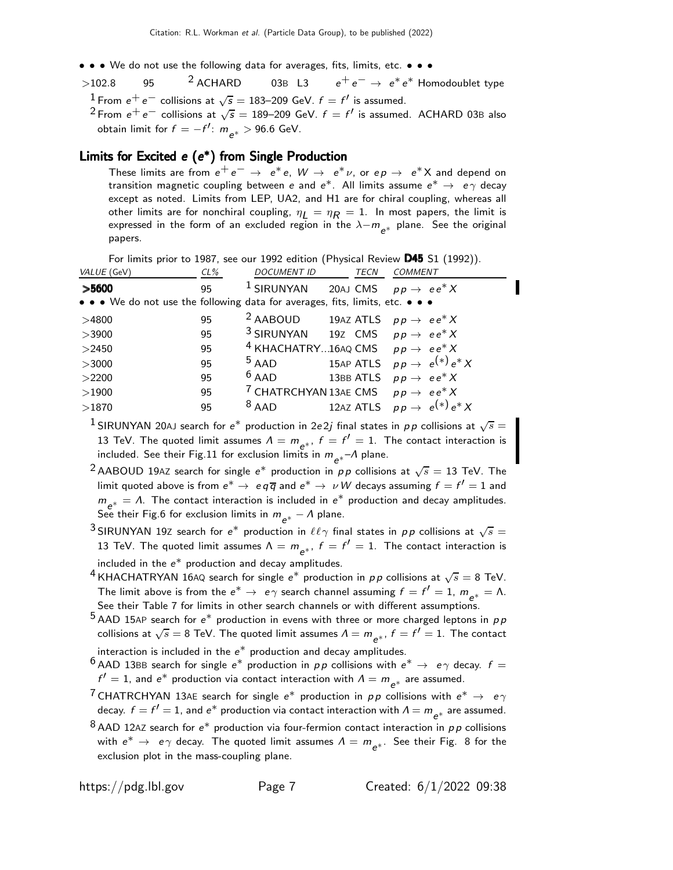- • We do not use the following data for averages, fits, limits, etc. • •
- $>$ 102.8 95 <sup>2</sup> ACHARD 03B L3  $e^+e^-$  →  $e^*e^*$  Homodoublet type  $^1$  From  $e^+e^-$  collisions at  $\sqrt{s}=$  183–209 GeV.  $f=f'$  is assumed.
	- <sup>2</sup> From  $e^+e^-$  collisions at  $\sqrt{s} = 189-209$  GeV.  $f = f'$  is assumed. ACHARD 03B also obtain limit for  $f = -f'$ :  $m_{e^*} > 96.6$  GeV.

#### Limits for Excited  $e$   $(e^*)$  from Single Production

These limits are from  $e^+e^ \rightarrow$   $e^*e$ ,  $W \rightarrow e^*\nu$ , or  $ep \rightarrow e^*X$  and depend on transition magnetic coupling between  $e$  and  $e^*$ . All limits assume  $e^* \rightarrow e\, \gamma$  decay except as noted. Limits from LEP, UA2, and H1 are for chiral coupling, whereas all other limits are for nonchiral coupling,  $\eta_L = \eta_R = 1$ . In most papers, the limit is expressed in the form of an excluded region in the  $\lambda-m_{e^*}$  plane. See the original papers.

| For limits prior to 1987, see our 1992 edition (Physical Review $D45$ S1 (1992)). |  |  |
|-----------------------------------------------------------------------------------|--|--|
|-----------------------------------------------------------------------------------|--|--|

| VALUE (GeV)                                                                   | $CL\%$ | <b>DOCUMENT ID</b>                                      | <b>TECN</b> | <b>COMMENT</b>                           |
|-------------------------------------------------------------------------------|--------|---------------------------------------------------------|-------------|------------------------------------------|
| >5600                                                                         | 95     | $1$ SIRUNYAN                                            |             | 20AJ CMS $pp \rightarrow ee^*X$          |
| • • • We do not use the following data for averages, fits, limits, etc. • • • |        |                                                         |             |                                          |
| >4800                                                                         | 95     | <sup>2</sup> AABOUD 19AZ ATLS $pp \rightarrow ee^*X$    |             |                                          |
| >3900                                                                         | 95     | <sup>3</sup> SIRUNYAN 19Z CMS $pp \rightarrow ee^*X$    |             |                                          |
| >2450                                                                         | 95     | <sup>4</sup> KHACHATRY16AQ CMS $pp \rightarrow ee^*X$   |             |                                          |
| >3000                                                                         | 95     | $5$ AAD                                                 |             | 15AP ATLS $pp \rightarrow e^{(*)}e^{*}X$ |
| >2200                                                                         | 95     | $6$ AAD                                                 |             | 13BB ATLS $pp \rightarrow ee^*X$         |
| >1900                                                                         | 95     | <sup>7</sup> CHATRCHYAN 13AE CMS $pp \rightarrow ee^*X$ |             |                                          |
| >1870                                                                         | 95     | $8$ AAD                                                 |             | 12AZ ATLS $pp \rightarrow e^{(*)}e^{*}X$ |

 $^1$ SIRUNYAN 20AJ search for  $e^*$  production in 2e2j final states in  $\rho\,p$  collisions at  $\sqrt{s}=$ 13 TeV. The quoted limit assumes  $\Lambda = m_{e^{*}}$ ,  $f = f' = 1$ . The contact interaction is included. See their Fig.11 for exclusion limits in  $m_{e^*}$ – $\Lambda$  plane.

- <sup>2</sup> AABOUD 19AZ search for single  $e^*$  production in pp collisions at  $\sqrt{s} = 13$  TeV. The limit quoted above is from  $e^* \to e q \overline{q}$  and  $e^* \to \nu W$  decays assuming  $f = f' = 1$  and  $m_{e^*} = \Lambda$ . The contact interaction is included in  $e^*$  production and decay amplitudes. See their Fig.6 for exclusion limits in  $m_{e^*}$  —  $\Lambda$  plane.
- <sup>3</sup> SIRUNYAN 19Z search for e<sup>\*</sup> production in  $\ell\ell\gamma$  final states in pp collisions at  $\sqrt{s} =$ 13 TeV. The quoted limit assumes  $\Lambda = m_{\mathsf{e}^*},~f=f'=1.$  The contact interaction is included in the  $e^*$  production and decay amplitudes.
- <sup>4</sup> KHACHATRYAN 16AQ search for single  $e^*$  production in pp collisions at  $\sqrt{s} = 8$  TeV. The limit above is from the  $e^* \to e\gamma$  search channel assuming  $f = f' = 1$ ,  $m_{e^*} = \Lambda$ . See their Table 7 for limits in other search channels or with different assumptions.
- $^5$  AAD 15AP search for  $e^\ast$  production in evens with three or more charged leptons in  $\rho\, p$ collisions at  $\sqrt{s}=8$  TeV. The quoted limit assumes  $\varLambda=m_{\mathsf{e}^*}$ ,  $f=f'=1.$  The contact
- interaction is included in the  $e^*$  production and decay amplitudes.
- <sup>6</sup> AAD 13BB search for single  $e^*$  production in  $pp$  collisions with  $e^* \rightarrow e \gamma$  decay.  $f =$  $f'=1$ , and  $e^*$  production via contact interaction with  $\Lambda=m_{e^*}$  are assumed.
- <sup>7</sup> CHATRCHYAN 13AE search for single  $e^*$  production in  $pp$  collisions with  $e^* \rightarrow e\gamma$ decay.  $f = f' = 1$ , and  $e^*$  production via contact interaction with  $\Lambda = m_{e^*}$  are assumed.
- $8$ AAD 12AZ search for  $e^*$  production via four-fermion contact interaction in  $\rho p$  collisions with  $e^* \rightarrow e\gamma$  decay. The quoted limit assumes  $\Lambda = m$ <sub> $e^*$ </sub>. See their Fig. 8 for the exclusion plot in the mass-coupling plane.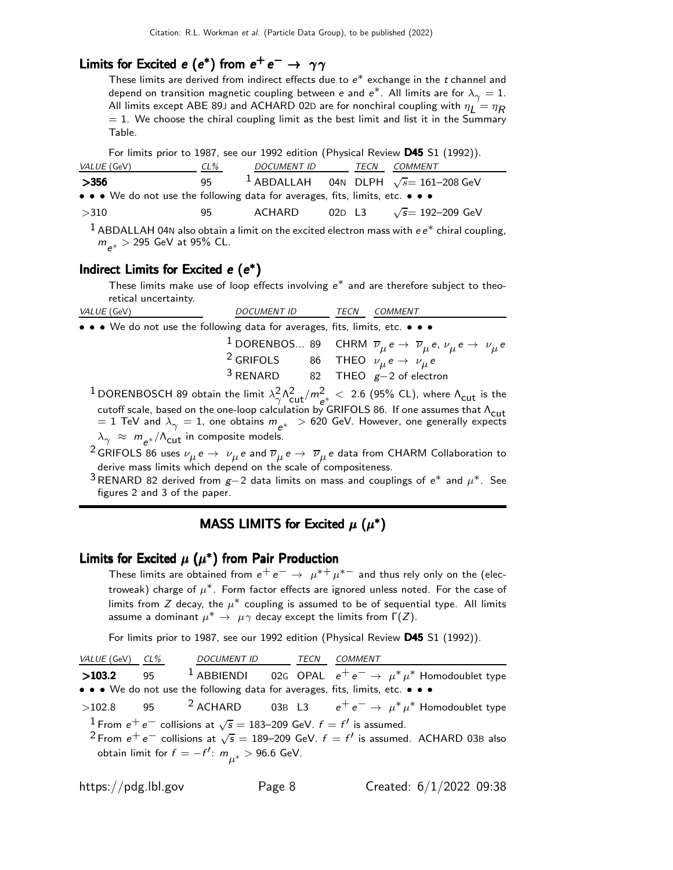# Limits for Excited e (e\*) from  $e^+e^-\rightarrow \gamma\gamma$

These limits are derived from indirect effects due to  $e^*$  exchange in the  $t$  channel and depend on transition magnetic coupling between e and e $^*$ . All limits are for  $\lambda_\gamma=1.$ All limits except ABE 89J and ACHARD 02D are for nonchiral coupling with  $\eta_L = \eta_R$  $= 1$ . We choose the chiral coupling limit as the best limit and list it in the Summary Table.

For limits prior to 1987, see our 1992 edition (Physical Review D45 S1 (1992)).

| <i>VALUE</i> (GeV)                                                            | CL% | DOCUMENT ID TECN |  | COMMENT                                                 |
|-------------------------------------------------------------------------------|-----|------------------|--|---------------------------------------------------------|
| >356                                                                          | 95  |                  |  | <sup>1</sup> ABDALLAH 04N DLPH $\sqrt{s}$ = 161-208 GeV |
| • • • We do not use the following data for averages, fits, limits, etc. • • • |     |                  |  |                                                         |
| >310                                                                          | 95. | ACHARD           |  | 02D L3 $\sqrt{s}$ = 192–209 GeV                         |
|                                                                               |     |                  |  | .                                                       |

<sup>1</sup> ABDALLAH 04N also obtain a limit on the excited electron mass with  $ee^*$  chiral coupling,  $m_{e^*} >$  295 GeV at 95% CL.

#### Indirect Limits for Excited  $e(e^*)$

These limits make use of loop effects involving  $e^*$  and are therefore subject to theoretical uncertainty.

| <i>VALUE</i> (GeV)                                                            | <b>DOCUMENT ID</b>                                                 | TECN | <b>COMMENT</b>                                                                                                                           |
|-------------------------------------------------------------------------------|--------------------------------------------------------------------|------|------------------------------------------------------------------------------------------------------------------------------------------|
| • • • We do not use the following data for averages, fits, limits, etc. • • • |                                                                    |      |                                                                                                                                          |
|                                                                               |                                                                    |      | <sup>1</sup> DORENBOS 89 CHRM $\overline{\nu}_{\mu} e \rightarrow \overline{\nu}_{\mu} e$ , $\nu_{\mu} e \rightarrow \nu_{\mu} e$        |
|                                                                               | <sup>2</sup> GRIFOLS 86 THEO $\nu_{\mu} e \rightarrow \nu_{\mu} e$ |      |                                                                                                                                          |
|                                                                               |                                                                    |      | <sup>3</sup> RENARD 82 THEO $g-2$ of electron                                                                                            |
|                                                                               |                                                                    |      | <sup>1</sup> DORENBOSCH 89 obtain the limit $\lambda_0^2 \Lambda_{\text{cut}}^2/m^2 < 2.6$ (95% CL), where $\Lambda_{\text{cut}}$ is the |

 $\frac{2}{\gamma}$   $\Lambda_{\text{cut}}^2/m_{\text{e}}^2 < 2.6$  (95% CL), where  $\Lambda_{\text{cut}}$  is the cutoff scale, based on the one-loop calculation by GRIFOLS 86. If one assumes that  $\Lambda_{\text{cut}}$  $z=1$  TeV and  $\lambda_{\gamma}=1$ , one obtains  $m_{e^*}>620$  GeV. However, one generally expects  $\lambda_\gamma~\approx~m_{\rm e^{\ast}}/\Lambda_{\rm cut}$  in composite models.

 $^2$ GRIFOLS 86 uses  $\nu_\mu$ e  $\to$   $~\nu_\mu$ e and  $\overline\nu_\mu$ e  $\to$   $~\overline\nu_\mu$ e data from CHARM Collaboration to derive mass limits which depend on the scale of compositeness.

<sup>3</sup>RENARD 82 derived from  $g-2$  data limits on mass and couplings of e<sup>\*</sup> and  $\mu^*$ . See figures 2 and 3 of the paper.

## MASS LIMITS for Excited  $\mu$  ( $\mu^*$ )

#### Limits for Excited  $\mu$   $(\mu^*)$  from Pair Production

These limits are obtained from  $e^+ \, e^- \rightarrow \ \mu^{*+} \, \mu^{*-}$  and thus rely only on the (electroweak) charge of  $\mu^*.$  Form factor effects are ignored unless noted. For the case of limits from Z decay, the  $\mu^*$  coupling is assumed to be of sequential type. All limits assume a dominant  $\mu^* \to \mu \gamma$  decay except the limits from  $\Gamma(Z)$ .

For limits prior to 1987, see our 1992 edition (Physical Review D45 S1 (1992)).

| VALUE (GeV) CL% | DOCUMENT ID  TECN  COMMENT                                                                              |  |  |  |
|-----------------|---------------------------------------------------------------------------------------------------------|--|--|--|
| >103.2          | 95 <sup>1</sup> ABBIENDI 02G OPAL $e^+e^- \rightarrow \mu^* \mu^*$ Homodoublet type                     |  |  |  |
|                 | • • • We do not use the following data for averages, fits, limits, etc. • • •                           |  |  |  |
|                 | >102.8 95 <sup>2</sup> ACHARD 03B L3 $e^+e^- \rightarrow \mu^* \mu^*$ Homodoublet type                  |  |  |  |
|                 | <sup>1</sup> From $e^+e^-$ collisions at $\sqrt{s} = 183-209$ GeV. $f = f'$ is assumed.                 |  |  |  |
|                 | <sup>2</sup> From $e^+e^-$ collisions at $\sqrt{s}$ = 189–209 GeV. $f = f'$ is assumed. ACHARD 03B also |  |  |  |
|                 | obtain limit for $f = -f'$ : $m_{\mu^*} > 96.6$ GeV.                                                    |  |  |  |
|                 |                                                                                                         |  |  |  |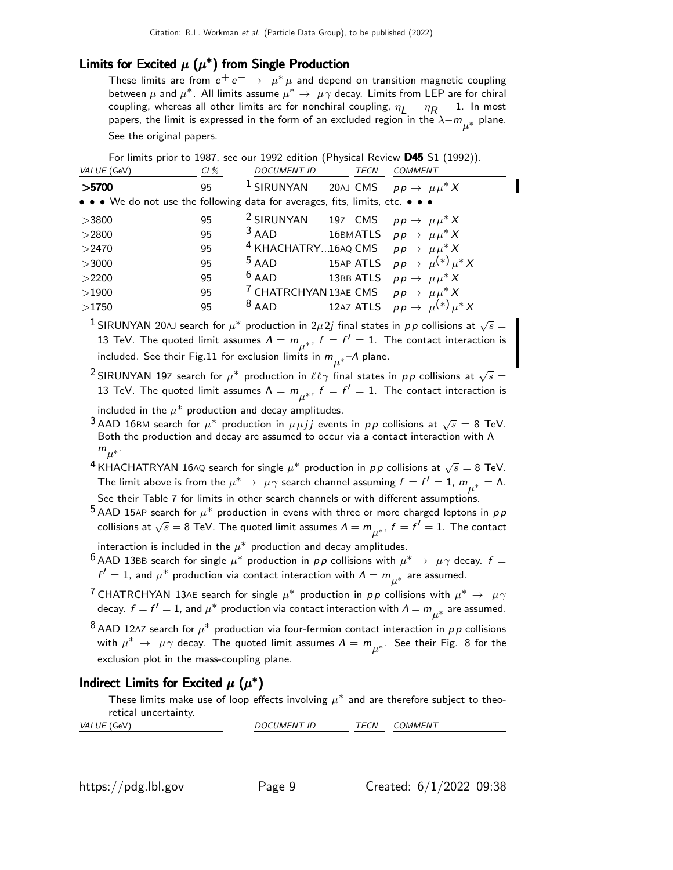## Limits for Excited  $\mu$   $(\mu^*)$  from Single Production

These limits are from  $e^+e^-\rightarrow\ \mu^*\mu$  and depend on transition magnetic coupling between  $\mu$  and  $\mu^*$ . All limits assume  $\mu^* \to \mu \gamma$  decay. Limits from LEP are for chiral coupling, whereas all other limits are for nonchiral coupling,  $\eta_L = \eta_R = 1$ . In most papers, the limit is expressed in the form of an excluded region in the  $\lambda - m_{\mu^*}$  plane. See the original papers.

For limits prior to 1987, see our 1992 edition (Physical Review D45 S1 (1992)).

| $CL\%$ | <b>DOCUMENT ID</b> |         | TECN         | <b>COMMENT</b>                                                                                                                                                                                                                                                                                                                                                                                                           |
|--------|--------------------|---------|--------------|--------------------------------------------------------------------------------------------------------------------------------------------------------------------------------------------------------------------------------------------------------------------------------------------------------------------------------------------------------------------------------------------------------------------------|
| 95     |                    |         |              | 20AJ CMS $pp \rightarrow \mu \mu^* X$                                                                                                                                                                                                                                                                                                                                                                                    |
|        |                    |         |              |                                                                                                                                                                                                                                                                                                                                                                                                                          |
| 95     |                    |         |              |                                                                                                                                                                                                                                                                                                                                                                                                                          |
| 95     |                    |         |              |                                                                                                                                                                                                                                                                                                                                                                                                                          |
| 95     |                    |         |              |                                                                                                                                                                                                                                                                                                                                                                                                                          |
| 95     | $5$ AAD            |         |              |                                                                                                                                                                                                                                                                                                                                                                                                                          |
| 95     |                    |         |              |                                                                                                                                                                                                                                                                                                                                                                                                                          |
| 95     |                    |         |              |                                                                                                                                                                                                                                                                                                                                                                                                                          |
| 95     | $8$ AAD            |         |              | 12AZ ATLS $pp \rightarrow \mu^{(*)} \mu^* X$                                                                                                                                                                                                                                                                                                                                                                             |
|        |                    | $6$ AAD | $1$ SIRUNYAN | • • • We do not use the following data for averages, fits, limits, etc. • • •<br><sup>2</sup> SIRUNYAN 19Z CMS $pp \rightarrow \mu \mu^* X$<br>$3$ AAD 16BM ATLS $pp \rightarrow \mu \mu^* X$<br><sup>4</sup> KHACHATRY16AQ CMS $pp \rightarrow \mu \mu^* X$<br>15AP ATLS $pp \rightarrow \mu^{(*)} \mu^* X$<br>13BB ATLS $pp \rightarrow \mu \mu^* X$<br><sup>7</sup> CHATRCHYAN 13AE CMS $p p \rightarrow \mu \mu^* X$ |

 $^1$ SIRUNYAN 20AJ search for  $\mu^*$  production in 2 $\mu$ 2j final states in  $p\,p$  collisions at  $\sqrt{s}=$ 13 TeV. The quoted limit assumes  $\varLambda = m_{\mu^*},~f=f'=1.$  The contact interaction is included. See their Fig.11 for exclusion limits in  $m_{\mu^*}$  – $\Lambda$  plane.

<sup>2</sup> SIRUNYAN 19Z search for  $\mu^*$  production in  $\ell\ell\gamma$  final states in  $p\,p$  collisions at  $\sqrt{s}=$ 13 TeV. The quoted limit assumes  $\Lambda = m_{\mu^*},~f=f'=1.$  The contact interaction is

included in the  $\mu^*$  production and decay amplitudes.

 $^3$ AAD 16BM search for  $\mu^*$  production in  $\mu\mu jj$  events in  $pp$  collisions at  $\sqrt{s}=8$  TeV. Both the production and decay are assumed to occur via a contact interaction with  $\Lambda =$  $m_{\mu^*}$ .

 $^4$ KHACHATRYAN 16AQ search for single  $\mu^*$  production in  $\rho\,p$  collisions at  $\sqrt{s}=8$  TeV. The limit above is from the  $\mu^* \to\ \mu\gamma$  search channel assuming  $f=f'=1$ ,  $m_{\mu^*}=\Lambda$ . See their Table 7 for limits in other search channels or with different assumptions.

 $^5$  AAD 15AP search for  $\mu^*$  production in evens with three or more charged leptons in  $\rho\, p$ collisions at  $\sqrt{s}=8$  TeV. The quoted limit assumes  $\varLambda=m_{\mu^*}^{}$  ,  $f=f'=1.$  The contact

interaction is included in the  $\mu^*$  production and decay amplitudes.

<sup>6</sup> AAD 13BB search for single  $\mu^*$  production in  $pp$  collisions with  $\mu^* \to \mu \gamma$  decay.  $f =$  $f'=1$ , and  $\mu^*$  production via contact interaction with  $\varLambda=m_{\mu^*}$  are assumed.

- <sup>7</sup> CHATRCHYAN 13AE search for single  $\mu^*$  production in  $p \, p$  collisions with  $\mu^* \rightarrow \mu \gamma$ decay.  $f=f'=1$ , and  $\mu^*$  production via contact interaction with  $\Lambda=m_{\mu^*}$  are assumed.
- $^8$ AAD 12AZ search for  $\mu^*$  production via four-fermion contact interaction in  $\rho\,p$  collisions with  $\mu^* \to \ \mu\gamma$  decay. The quoted limit assumes  $\Lambda = m_{\mu^*}.$  See their Fig. 8 for the exclusion plot in the mass-coupling plane.

#### Indirect Limits for Excited  $\mu$   $(\mu^*)$

These limits make use of loop effects involving  $\mu^*$  and are therefore subject to theoretical uncertainty.

| VAL<br>$A - A$<br>______ | $\sqrt{2}$<br>$^{\prime}$<br>''''<br>שו | ----<br>ັບມ<br>_______ | 'N<br>$^{\prime\prime}$ IVIL. |  |
|--------------------------|-----------------------------------------|------------------------|-------------------------------|--|
|                          |                                         |                        |                               |  |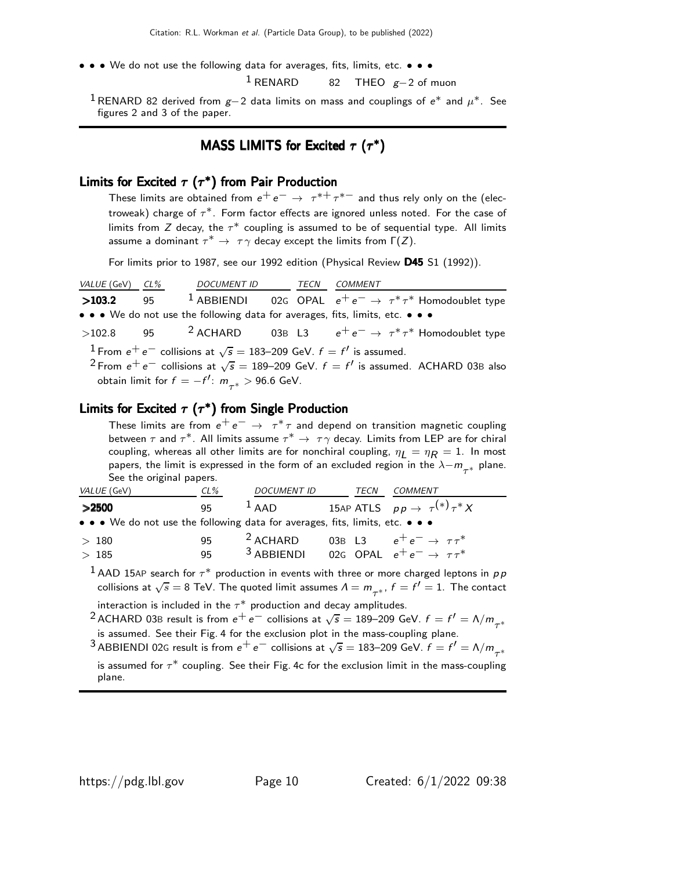• • • We do not use the following data for averages, fits, limits, etc. • • • •  $1$  RFNARD  $82$  THFO  $\sigma = 2$  of r

82 THEO  $g-2$  of muon

<sup>1</sup>RENARD 82 derived from  $g-2$  data limits on mass and couplings of  $e^*$  and  $\mu^*$ . See figures 2 and 3 of the paper.

## MASS LIMITS for Excited  $\tau$  ( $\tau^*$ )

#### Limits for Excited  $\tau$   $(\tau^{\ast})$  from Pair Production

These limits are obtained from  $e^+ \, e^- \rightarrow \ \tau^{*+} \, \tau^{*-}$  and thus rely only on the (electroweak) charge of  $\tau^*.$  Form factor effects are ignored unless noted. For the case of limits from  $Z$  decay, the  $\tau^\ast$  coupling is assumed to be of sequential type. All limits assume a dominant  $\tau^* \to \tau \gamma$  decay except the limits from  $\Gamma(Z)$ .

For limits prior to 1987, see our 1992 edition (Physical Review D45 S1 (1992)).

| <i>VALUE</i> (GeV) <i>CL%</i> |                                                                                         |  |                                                                                                         |
|-------------------------------|-----------------------------------------------------------------------------------------|--|---------------------------------------------------------------------------------------------------------|
| >103.2                        |                                                                                         |  | 95 <sup>1</sup> ABBIENDI 02G OPAL $e^+e^- \rightarrow \tau^* \tau^*$ Homodoublet type                   |
|                               |                                                                                         |  | • • • We do not use the following data for averages, fits, limits, etc. • • •                           |
|                               |                                                                                         |  | >102.8 95 <sup>2</sup> ACHARD 03B L3 $e^+e^- \rightarrow \tau^* \tau^*$ Homodoublet type                |
|                               | <sup>1</sup> From $e^+e^-$ collisions at $\sqrt{s} = 183-209$ GeV. $f = f'$ is assumed. |  |                                                                                                         |
|                               |                                                                                         |  | <sup>2</sup> From $e^+e^-$ collisions at $\sqrt{s}$ = 189–209 GeV. $f = f'$ is assumed. ACHARD 03B also |
|                               | obtain limit for $f = -f'$ : $m_{\pi^*} > 96.6$ GeV.                                    |  |                                                                                                         |
|                               |                                                                                         |  |                                                                                                         |

#### Limits for Excited  $\tau$  ( $\tau^*$ ) from Single Production

These limits are from  $e^+e^-\rightarrow\ \tau^*\tau$  and depend on transition magnetic coupling between  $\tau$  and  $\tau^*$ . All limits assume  $\tau^* \to \tau \gamma$  decay. Limits from LEP are for chiral coupling, whereas all other limits are for nonchiral coupling,  $\eta_I = \eta_R = 1$ . In most papers, the limit is expressed in the form of an excluded region in the  $\lambda-m_{\tau^*}$  plane. See the original papers.

| VALUE (GeV)                                                                                                           | CL% | <b>DOCUMENT ID</b>                                              | <b>TECN</b> | COMMENT                                        |
|-----------------------------------------------------------------------------------------------------------------------|-----|-----------------------------------------------------------------|-------------|------------------------------------------------|
| >2500                                                                                                                 | 95. | $1$ AAD                                                         |             | 15AP ATLS $pp \rightarrow \tau^{(*)} \tau^* X$ |
| $\bullet \bullet \bullet$ We do not use the following data for averages, fits, limits, etc. $\bullet \bullet \bullet$ |     |                                                                 |             |                                                |
| >180                                                                                                                  | 95  | $2$ ACHARD                                                      |             | 03B L3 $e^+e^- \rightarrow \tau \tau^*$        |
| >185                                                                                                                  | 95  | <sup>3</sup> ABBIENDI 02G OPAL $e^+e^- \rightarrow \tau \tau^*$ |             |                                                |

 $^{\text{1}}$  AAD 15AP search for  $\tau^*$  production in events with three or more charged leptons in  $\rho\, p$ collisions at  $\sqrt{s}=8$  TeV. The quoted limit assumes  $\varLambda=m_{\tau^*},\,f=f'=1.$  The contact

interaction is included in the  $\tau^*$  production and decay amplitudes.

<sup>2</sup> ACHARD 03B result is from  $e^+e^-$  collisions at  $\sqrt{s} = 189-209$  GeV.  $f = f' = \Lambda/m_{\tau^*}$ is assumed. See their Fig. 4 for the exclusion plot in the mass-coupling plane.

 $^3$ ABBIENDI 02G result is from  $e^+ \, e^-$  collisions at  $\sqrt{s} = 183$ –209 GeV.  $f = f' = \Lambda/m_{\tau^*}$ 

is assumed for  $\tau^*$  coupling. See their Fig. 4c for the exclusion limit in the mass-coupling plane.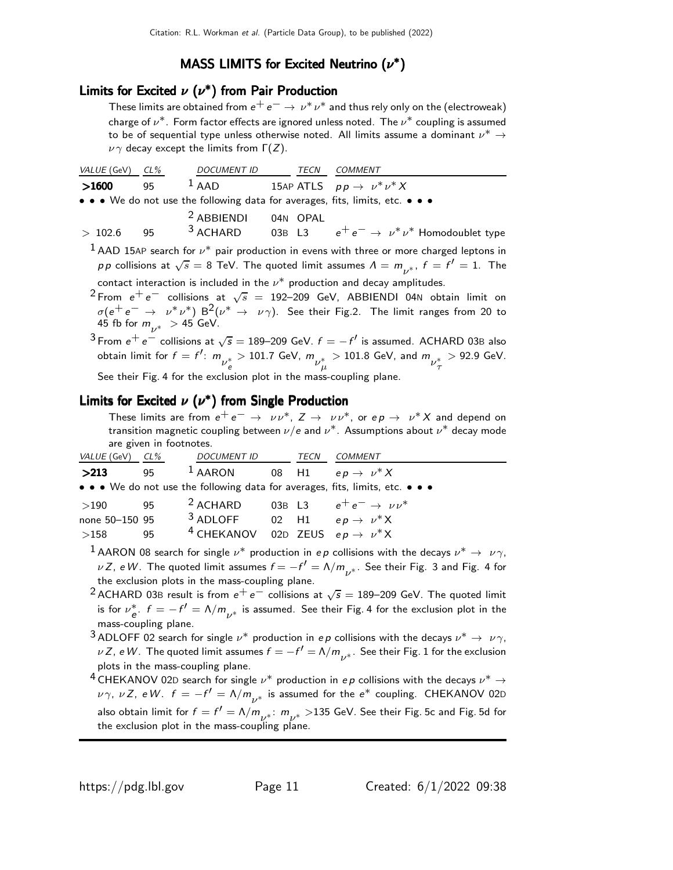# MASS LIMITS for Excited Neutrino  $(\nu^*)$

## Limits for Excited  $\nu$   $(\nu^*)$  from Pair Production

These limits are obtained from  $e^+ \, e^- \rightarrow \, \nu^* \, \nu^*$  and thus rely only on the (electroweak) charge of  $\nu^*.$  Form factor effects are ignored unless noted. The  $\nu^*$  coupling is assumed to be of sequential type unless otherwise noted. All limits assume a dominant  $\nu^* \to$  $\nu \gamma$  decay except the limits from  $\Gamma(Z)$ .

| VALUE (GeV) | CL% | <b>DOCUMENT ID</b>    | TECN     | COMMENT                                                                                                 |
|-------------|-----|-----------------------|----------|---------------------------------------------------------------------------------------------------------|
| >1600       | 95  | $1$ AAD               |          | 15AP ATLS $pp \rightarrow \nu^* \nu^* X$                                                                |
|             |     |                       |          | • • • We do not use the following data for averages, fits, limits, etc. • • •                           |
|             |     | <sup>2</sup> ABBIENDI | 04N OPAL |                                                                                                         |
| >102.6      | 95  | $3$ ACHARD            |          | 03B L3 $e^+e^- \rightarrow \nu^*\nu^*$ Homodoublet type                                                 |
|             |     |                       |          | <sup>1</sup> AAD 15AP search for $\nu^*$ pair production in evens with three or more charged leptons in |

 $p \, p$  collisions at  $\sqrt{s} = 8$  TeV. The quoted limit assumes  $\Lambda = m_{\nu^*}, \ f = f' = 1.$  The

contact interaction is included in the  $\nu^*$  production and decay amplitudes.  $^2$ From  $e^+e^-$  collisions at  $\sqrt{s}$  = 192–209 GeV, ABBIENDI 04N obtain limit on  $\sigma(e^+e^- \rightarrow \nu^*\nu^*)$   $B^2(\nu^* \rightarrow \nu\gamma)$ . See their Fig.2. The limit ranges from 20 to 45 fb for  $m_{\nu^*} >$  45 GeV.

 $3$  From  $e^+e^-$  collisions at  $\sqrt{s} = 189-209$  GeV.  $f = -f'$  is assumed. ACHARD 03B also obtain limit for  $f=f'\colon\,m_{\stackrel{\hspace{0.1em}y}{\phantom{}_{\hspace{0.1em}\scriptscriptstyle\sim}}}$  $_{e}^{\ast}$   $>$  101.7 GeV,  $m_{\stackrel{\circ}{\nu_{\mu}^{\ast}}}$  $_{\mu}^*$   $>$  101.8 GeV, and  $m_{\nu_{\tau}^*}^*$ τ  $> 92.9$  GeV. See their Fig. 4 for the exclusion plot in the mass-coupling plane.

## Limits for Excited  $\nu$   $(\nu^*)$  from Single Production

These limits are from  $e^+e^- \to \nu \nu^*$ ,  $Z \to \nu \nu^*$ , or  $e \rho \to \nu^* X$  and depend on transition magnetic coupling between  $\nu/e$  and  $\nu^*$  . Assumptions about  $\nu^*$  decay mode are given in footnotes.

| VALUE (GeV) CL% |    | DOCUMENT ID                                               | TECN | COMMENT                                                                       |
|-----------------|----|-----------------------------------------------------------|------|-------------------------------------------------------------------------------|
| >213            | 95 | <sup>1</sup> AARON 08 H1 $ep \rightarrow \nu^* X$         |      |                                                                               |
|                 |    |                                                           |      | • • • We do not use the following data for averages, fits, limits, etc. • • • |
| >190            | 95 | <sup>2</sup> ACHARD 03B L3 $e^+e^- \rightarrow \nu \nu^*$ |      |                                                                               |
| none 50-150 95  |    | <sup>3</sup> ADLOFF 02 H1 $ep \rightarrow \nu^* X$        |      |                                                                               |
| >158            | 95 | <sup>4</sup> CHEKANOV 02D ZEUS $ep \rightarrow \nu^* X$   |      |                                                                               |

 $^1$  AARON 08 search for single  $\nu^*$  production in ep collisions with the decays  $\nu^* \rightarrow \nu \gamma$ ,  $\nu$  Z, e W. The quoted limit assumes  $f = -f' = \Lambda/m_{\nu^*}.$  See their Fig. 3 and Fig. 4 for the exclusion plots in the mass-coupling plane.

- <sup>2</sup> ACHARD 03B result is from  $e^+e^-$  collisions at  $\sqrt{s} = 189-209$  GeV. The quoted limit is for  $\nu_{\rm e}^*$ .  $f=-f'=\Lambda/m_{\nu^*}$  is assumed. See their Fig. 4 for the exclusion plot in the mass-coupling plane.
- 3 ADLOFF 02 search for single  $\nu^*$  production in ep collisions with the decays  $\nu^* \rightarrow \nu \gamma$ ,  $\nu$  Z, e W. The quoted limit assumes  $f=-f'=\Lambda/m_{\nu^*}.$  See their Fig. 1 for the exclusion plots in the mass-coupling plane.
- $^4$  CHEKANOV 02D search for single  $\nu^*$  production in ep collisions with the decays  $\nu^* \to$  $\nu\gamma$ ,  $\nu Z$ , eW.  $f=-f'=\Lambda/m_{\nu^*}$  is assumed for the  $e^*$  coupling. <code>CHEKANOV</code> 02D also obtain limit for  $f=f'=\Lambda/m_{\nu^*}\colon\thinspace m_{\nu^*}>$ 135 GeV. See their Fig. 5c and Fig. 5d for the exclusion plot in the mass-coupling plane.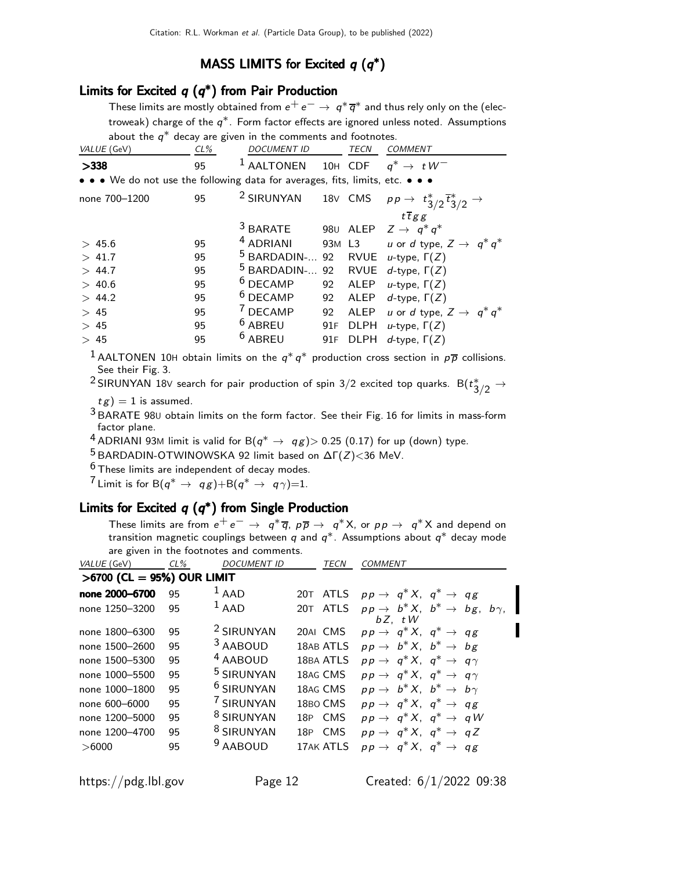## MASS LIMITS for Excited  $q(q^*)$

#### Limits for Excited  $q(q^*)$  from Pair Production

These limits are mostly obtained from  $e^+ \, e^- \rightarrow \, q^* \, \overline{q}^*$  and thus rely only on the (electroweak) charge of the  $q^\ast$ . Form factor effects are ignored unless noted. Assumptions about the  $q^*$  decay are given in the comments and footnotes.

| $CL\%$ | accuy are given in the comments and roother<br><b>DOCUMENT ID</b> |                     | TECN        | <b>COMMENT</b>                                                                                                                                                                                                                                                                                                                 |
|--------|-------------------------------------------------------------------|---------------------|-------------|--------------------------------------------------------------------------------------------------------------------------------------------------------------------------------------------------------------------------------------------------------------------------------------------------------------------------------|
| 95     | <sup>1</sup> AALTONEN                                             |                     |             | 10H CDF $q^* \rightarrow tW^-$                                                                                                                                                                                                                                                                                                 |
|        |                                                                   |                     |             |                                                                                                                                                                                                                                                                                                                                |
| 95     |                                                                   |                     |             |                                                                                                                                                                                                                                                                                                                                |
|        |                                                                   |                     |             | $t \overline{t} g g$                                                                                                                                                                                                                                                                                                           |
|        |                                                                   |                     |             | $Z \rightarrow q^* q^*$                                                                                                                                                                                                                                                                                                        |
| 95     | <sup>4</sup> ADRIANI                                              |                     |             | u or d type, $Z \rightarrow q^* q^*$                                                                                                                                                                                                                                                                                           |
| 95     |                                                                   |                     |             |                                                                                                                                                                                                                                                                                                                                |
| 95     |                                                                   |                     |             | d-type, $\Gamma(Z)$                                                                                                                                                                                                                                                                                                            |
| 95     | $6$ DECAMP                                                        |                     |             | u-type, $\Gamma(Z)$                                                                                                                                                                                                                                                                                                            |
| 95     | $6$ DECAMP                                                        | 92                  | ALEP        | d-type, $\Gamma(Z)$                                                                                                                                                                                                                                                                                                            |
| 95     | <sup>7</sup> DECAMP                                               | 92                  | ALEP        | u or d type, $Z \rightarrow q^* q^*$                                                                                                                                                                                                                                                                                           |
| 95     | <sup>6</sup> ABREU                                                |                     |             | $u$ -type, $\Gamma(Z)$                                                                                                                                                                                                                                                                                                         |
| 95     | <sup>6</sup> ABREU                                                |                     | <b>DLPH</b> | d-type, $\Gamma(Z)$                                                                                                                                                                                                                                                                                                            |
|        |                                                                   | <sup>3</sup> BARATE |             | • • • We do not use the following data for averages, fits, limits, etc. • • •<br><sup>2</sup> SIRUNYAN 18V CMS $pp \rightarrow t_{3/2}^* \overline{t}_{3/2}^* \rightarrow$<br>980 ALEP<br>93M L3<br><sup>5</sup> BARDADIN- 92 RVUE <i>u</i> -type, $\Gamma(Z)$<br><sup>5</sup> BARDADIN- 92 RVUE<br>92 ALEP<br>91F DLPH<br>91F |

<sup>1</sup> AALTONEN 10H obtain limits on the  $q^*q^*$  production cross section in  $p\overline{p}$  collisions. See their Fig. 3.

 $^2$ SIRUNYAN 18V search for pair production of spin 3/2 excited top quarks.  ${\sf B}(t_{3/2}^{\ast} \to t_{3/2}^{\ast})$ 

 $tg$ ) = 1 is assumed.

 $3$  BARATE 980 obtain limits on the form factor. See their Fig. 16 for limits in mass-form factor plane.

 $^4$  ADRIANI 93M limit is valid for B $(q^* \rightarrow q g)$  $>$  0.25 (0.17) for up (down) type.

<sup>5</sup> BARDADIN-OTWINOWSKA 92 limit based on  $\Delta\Gamma(Z)$  < 36 MeV.

 $6$  These limits are independent of decay modes.

<sup>7</sup> Limit is for B $(q^* \rightarrow qg)$ +B $(q^* \rightarrow q\gamma)$ =1.

#### Limits for Excited  $q(q^*)$  from Single Production

These limits are from  $e^+ \, e^- \, \rightarrow \, \, q^* \, \overline{q}, \, \rho \, \overline{p} \, \rightarrow \, \, q^* \, \overline{X},$  or  $p \, p \, \rightarrow \, \, q^* \, \overline{X}$  and depend on transition magnetic couplings between  $q$  and  $q^\ast$ . Assumptions about  $q^\ast$  decay mode are given in the footnotes and comments.

| VALUE (GeV)                  | $CL\%$ | <b>DOCUMENT ID</b>    | TECN               | <b>COMMENT</b>                                                           |
|------------------------------|--------|-----------------------|--------------------|--------------------------------------------------------------------------|
| $>6700$ (CL = 95%) OUR LIMIT |        |                       |                    |                                                                          |
| none 2000-6700               | 95     | $1$ AAD               |                    | 20T ATLS $pp \rightarrow q^* X$ , $q^* \rightarrow qg$                   |
| none 1250-3200               | 95     | $1$ AAD               | <b>ATLS</b><br>20T | $pp \rightarrow b^* X$ , $b^* \rightarrow bg$ , $b \gamma$ ,<br>$bZ.$ tW |
| none 1800-6300               | 95     | <sup>2</sup> SIRUNYAN | 20AI CMS           | $pp \rightarrow q^* X$ , $q^* \rightarrow qg$                            |
| none 1500-2600               | 95     | 3 AABOUD              | 18AB ATLS          | $pp \rightarrow b^* X$ , $b^* \rightarrow bg$                            |
| none 1500-5300               | 95     | <sup>4</sup> AABOUD   | 18BA ATLS          | $pp \rightarrow q^* X$ , $q^* \rightarrow q \gamma$                      |
| none 1000-5500               | 95     | <sup>5</sup> SIRUNYAN | 18AG CMS           | $pp \rightarrow q^* X$ , $q^* \rightarrow q \gamma$                      |
| none 1000-1800               | 95     | <sup>6</sup> SIRUNYAN | 18AG CMS           | $pp \rightarrow b^* X$ , $b^* \rightarrow b \gamma$                      |
| none 600-6000                | 95     | <sup>7</sup> SIRUNYAN | 18BO CMS           | $pp \rightarrow q^* X$ , $q^* \rightarrow qg$                            |
| none 1200-5000               | 95     | <sup>8</sup> SIRUNYAN | 18P CMS            | $pp \rightarrow q^* X$ , $q^* \rightarrow qW$                            |
| none 1200-4700               | 95     | <sup>8</sup> SIRUNYAN | 18P CMS            | $pp \rightarrow q^* X$ , $q^* \rightarrow qZ$                            |
| >6000                        | 95     | <sup>9</sup> AABOUD   | 17AK ATLS          | $pp \rightarrow q^* X$ , $q^* \rightarrow qg$                            |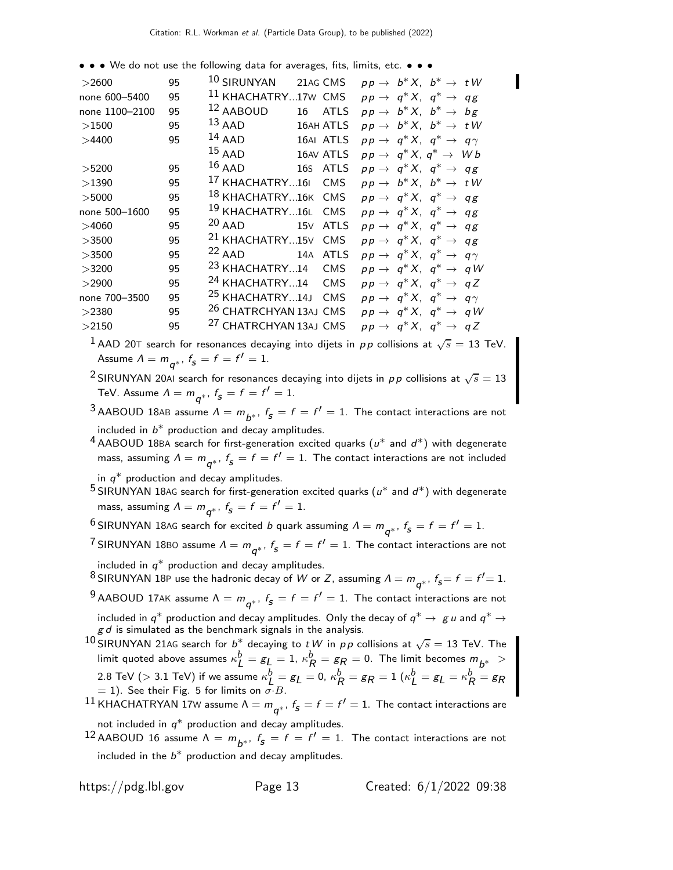• • • We do not use the following data for averages, fits, limits, etc. • • •

| $>$ 2600       | 95 | 10 SIRUNYAN<br>$pp \rightarrow b^* X$ , $b^* \rightarrow tW$<br>21AG CMS                  |  |
|----------------|----|-------------------------------------------------------------------------------------------|--|
| none 600-5400  | 95 | <sup>11</sup> KHACHATRY17W CMS<br>$pp \rightarrow q^* X$ , $q^* \rightarrow qg$           |  |
| none 1100-2100 | 95 | 12 AABOUD<br>$pp \rightarrow b^* X$ , $b^* \rightarrow bg$<br>16<br><b>ATLS</b>           |  |
| >1500          | 95 | $^{13}$ AAD<br>$pp \rightarrow b^* X$ , $b^* \rightarrow tW$<br><b>16AH ATLS</b>          |  |
| >4400          | 95 | $14$ AAD<br>16AI ATLS<br>$pp \rightarrow q^* X$ , $q^* \rightarrow q \gamma$              |  |
|                |    | $15$ AAD<br>16AV ATLS<br>$pp \rightarrow q^* X, q^* \rightarrow Wb$                       |  |
| >5200          | 95 | $16$ AAD<br>16s ATLS<br>$pp \rightarrow q^* X$ , $q^* \rightarrow qg$                     |  |
| >1390          | 95 | <sup>17</sup> KHACHATRY16I CMS<br>$pp \rightarrow b^* X$ , $b^* \rightarrow tW$           |  |
| >5000          | 95 | 18 KHACHATRY16K CMS<br>$pp \rightarrow q^* X$ , $q^* \rightarrow qg$                      |  |
| none 500-1600  | 95 | <sup>19</sup> KHACHATRY16L CMS<br>$pp \rightarrow q^* X$ , $q^* \rightarrow qg$           |  |
| >4060          | 95 | <sup>20</sup> AAD 15V ATLS<br>$pp \rightarrow q^* X$ , $q^* \rightarrow qg$               |  |
| >3500          | 95 | <sup>21</sup> KHACHATRY15V CMS<br>$pp \rightarrow q^* X$ , $q^* \rightarrow qg$           |  |
| >3500          | 95 | <sup>22</sup> AAD 14A ATLS<br>$pp \rightarrow q^* X$ , $q^* \rightarrow q \gamma$         |  |
| >3200          | 95 | <sup>23</sup> KHACHATRY14<br><b>CMS</b><br>$pp \rightarrow q^* X$ , $q^* \rightarrow q W$ |  |
| >2900          | 95 | <sup>24</sup> KHACHATRY14 CMS<br>$pp \rightarrow q^* X$ , $q^* \rightarrow qZ$            |  |
| none 700-3500  | 95 | <sup>25</sup> KHACHATRY14J CMS<br>$pp \rightarrow q^* X, q^* \rightarrow q \gamma$        |  |
| >2380          | 95 | <sup>26</sup> CHATRCHYAN 13AJ CMS<br>$pp \rightarrow q^* X$ , $q^* \rightarrow qW$        |  |
| >2150          | 95 | <sup>27</sup> CHATRCHYAN 13AJ CMS<br>$pp \rightarrow q^* X$ , $q^* \rightarrow qZ$        |  |
|                |    |                                                                                           |  |

 $^1$  AAD 20T search for resonances decaying into dijets in  $p\,p$  collisions at  $\sqrt{s}=$  13 TeV. Assume  $\Lambda = m_{\boldsymbol{q}^*},~f_{\boldsymbol{s}} = f = f' = 1.$ 

 $^2$ SIRUNYAN 20AI search for resonances decaying into dijets in  $pp$  collisions at  $\sqrt{s}=13$ TeV. Assume  $\Lambda = m_{\boldsymbol{q}^*},~f_{\boldsymbol{s}} = f = f' = 1.$ 

 $^3$ AABOUD 18AB assume  $\Lambda = m_{\overline{b^*}}$ ,  $f_5 = f = f' = 1$ . The contact interactions are not included in  $b^*$  production and decay amplitudes.

 $^4$  AABOUD 18BA search for first-generation excited quarks  $(u^*$  and  $d^*)$  with degenerate mass, assuming  $\Lambda = m_{\bm{q}^*}, \ f_{\bm{S}} = f = f^{\prime} = 1.$  The contact interactions are not included in  $q^*$  production and decay amplitudes.

 $^5$ SIRUNYAN 18AG search for first-generation excited quarks  $(u^*$  and  $d^*)$  with degenerate mass, assuming  $\Lambda = m_{\overline{q}^*}$ ,  $f_{\overline{s}} = f = f' = 1$ .

 $^6$ SIRUNYAN 18AG search for excited  $b$  quark assuming  $\varLambda = m_{\bm{q}^*}, \ f_{\bm{s}} = f = f' = 1.$ 

 $^7$ SIRUNYAN 18B0 assume  $\varLambda = m_{\bm{q}^*}, \, f_{\bm{s}} = f = f^\prime = 1.$  The contact interactions are not included in  $q^*$  production and decay amplitudes.

 $^8$ SIRUNYAN 18P use the hadronic decay of  $W$  or  $Z$ , assuming  $\Lambda = m_{\bm{q}^*}$ ,  $f_{\bm{S}} = f = f'$   $= 1.$  $^9$ AABOUD 17AK assume  $\Lambda = m_{\overline{q^*}}$ ,  $f_5 = f = f' = 1$ . The contact interactions are not included in  $q^*$  production and decay amplitudes. Only the decay of  $q^* \to g \, u$  and  $q^* \to g \, u$  $g d$  is simulated as the benchmark signals in the analysis.

 $^{10}$ SIRUNYAN 21AG search for  $b^\ast$  decaying to tW in pp collisions at  $\sqrt{s}=$  13 TeV. The limit quoted above assumes  $\kappa_L^b=g_L^{\phantom{b}}=1$ ,  $\kappa_R^b=g_R^{\phantom{b}}=0$ . The limit becomes  $m_{\overline{b^*}}>0$ 2.8 TeV ( $>$  3.1 TeV) if we assume  $\kappa_I^b$  $\overset{b}{\mathcal{L}}\,=\mathcal{L}=\mathsf{0},\,\kappa_{f}^{b}$  $\frac{b}{R} = \mathcal{g}_{R} = 1$  (κ $\frac{b}{L}$  $L^b = g_L = \kappa_P^b$  $R^0 = g_R$  $=$  1). See their Fig. 5 for limits on  $\sigma$  *B*.

 $^{11}$  KHACHATRYAN 17W assume  $\Lambda = m_{\bm{q}^*}, \, f_{\bm{s}} = f = f' = 1.$  The contact interactions are not included in  $q^*$  production and decay amplitudes.

 $^{12}$ AABOUD 16 assume  $\Lambda = m_{\overline{b^*}}$ ,  $f_{\overline{s}} = f = f' = 1$ . The contact interactions are not included in the  $b^*$  production and decay amplitudes.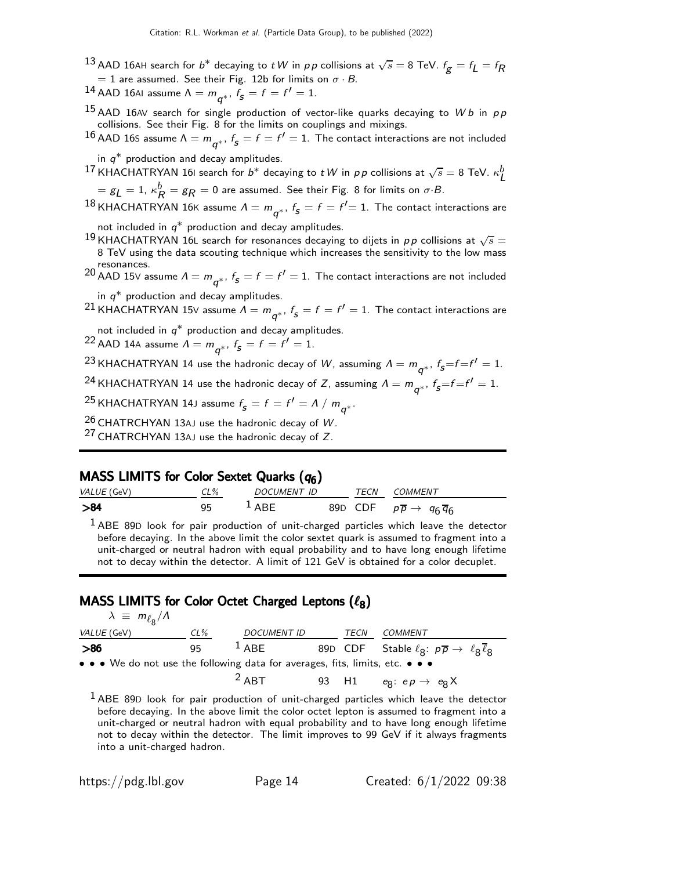- $^{13}$  AAD 16AH search for  $b^\ast$  decaying to  $t$   $W$  in  $\rho\,p$  collisions at  $\sqrt{s}=$  8 TeV.  $f_{\boldsymbol{\mathcal{g}}}=f_{\boldsymbol{\mathcal{L}}}=f_{\boldsymbol{\mathcal{R}}}$  $= 1$  are assumed. See their Fig. 12b for limits on  $\sigma \cdot B$ .
- $^{14}$  AAD 16AI assume  $\Lambda = m_{\overline{q}^*}$ ,  $f_{\overline{s}} = f = f' = 1$ .
- $^{15}$  AAD 16AV search for single production of vector-like quarks decaying to Wb in pp collisions. See their Fig. 8 for the limits on couplings and mixings.
- $^{16}$  AAD 16S assume  $\Lambda = m_{\bm{q}^*}, \ f_{\bm{s}} = f = f' = 1.$  The contact interactions are not included

in  $q^*$  production and decay amplitudes.

 $^{17}$ KHACHATRYAN 161 search for  $b^*$  decaying to  $t$   $W$  in  $p$   $p$  collisions at  $\sqrt{s} =$  8 TeV.  $\kappa_L^b$  $= \varepsilon_L = 1$ ,  $\kappa_R^b = \varepsilon_R = 0$  are assumed. See their Fig. 8 for limits on  $\sigma \cdot B$ .

 $^{18}$ KHACHATRYAN 16K assume  $\varLambda = m_{\bm{q}^*}, \, f_{\bm{s}} = f = f' {= 1}.$  The contact interactions are

not included in  $q^*$  production and decay amplitudes.

- $^{19}$ KHACHATRYAN 16L search for resonances decaying to dijets in  $pp$  collisions at  $\sqrt{s}=$ 8 TeV using the data scouting technique which increases the sensitivity to the low mass
- resonances.<br><sup>20</sup> AAD 15V assume  $\Lambda = m_{\bm{q}^*}, \ f_{\bm{s}} = f = f' = 1.$  The contact interactions are not included

in  $q^*$  production and decay amplitudes.

 $^{21}$ KHACHATRYAN 15V assume  $\varLambda = m_{\bm{q}^*}, \, f_{\bm{s}} = f = f' = 1.$  The contact interactions are

not included in  $q^*$  production and decay amplitudes.

<sup>22</sup> AAD 14A assume  $\Lambda = m_{\boldsymbol{q}^*}$ ,  $f_{\boldsymbol{s}} = f = f' = 1$ .

 $^{23}$ KHACHATRYAN 14 use the hadronic decay of  $W$ , assuming  $\varLambda = m_{\bm{q}^*}, \ f_{\bm{S}}{=}f{=}f^\prime = 1.$ 

 $^{24}$ KHACHATRYAN 14 use the hadronic decay of Z, assuming  $\varLambda = m_{\bm{q}^*}, \, f_{\bm{s}}{=}f{=}f^\prime = 1.$ 

 $^{25}$ KHACHATRYAN 14J assume  $f^{}_{\mathcal{S}}=f=f'= \Lambda\ /\ m^{}_{\mathcal{q}^*}.$ 

 $26$  CHATRCHYAN 13AJ use the hadronic decay of W.

 $27$  CHATRCHYAN 13AJ use the hadronic decay of Z.

## MASS LIMITS for Color Sextet Quarks  $(q_6)$

| VALUE (GeV) | CL% | <i>DOCUMENT ID</i> | TECN | COMMENT                                                |
|-------------|-----|--------------------|------|--------------------------------------------------------|
| >84         |     | $\perp$ ARF        |      | 89D CDF $p\overline{p} \rightarrow q_6 \overline{q}_6$ |

 $1$  ABE 89D look for pair production of unit-charged particles which leave the detector before decaying. In the above limit the color sextet quark is assumed to fragment into a unit-charged or neutral hadron with equal probability and to have long enough lifetime not to decay within the detector. A limit of 121 GeV is obtained for a color decuplet.

## MASS LIMITS for Color Octet Charged Leptons  $(\ell_8)$

| $\lambda \equiv m_{\ell_{\rm B}}/A$                                                                                   |        |                    |      |                                                                                                      |
|-----------------------------------------------------------------------------------------------------------------------|--------|--------------------|------|------------------------------------------------------------------------------------------------------|
| VALUE (GeV)                                                                                                           | $CL\%$ | <b>DOCUMENT ID</b> | TECN | COMMENT                                                                                              |
| > 86                                                                                                                  | 95     | $1$ ABE            |      | 89D CDF Stable $\ell_{\mathbf{S}}$ : $p\overline{p} \rightarrow \ell_{\mathbf{S}} \ell_{\mathbf{S}}$ |
| $\bullet \bullet \bullet$ We do not use the following data for averages, fits, limits, etc. $\bullet \bullet \bullet$ |        |                    |      |                                                                                                      |
|                                                                                                                       |        | $2$ ABT            |      | 93 H1 $e_8$ : $ep \rightarrow e_8$ X                                                                 |

<sup>1</sup> ABE 89D look for pair production of unit-charged particles which leave the detector before decaying. In the above limit the color octet lepton is assumed to fragment into a unit-charged or neutral hadron with equal probability and to have long enough lifetime not to decay within the detector. The limit improves to 99 GeV if it always fragments into a unit-charged hadron.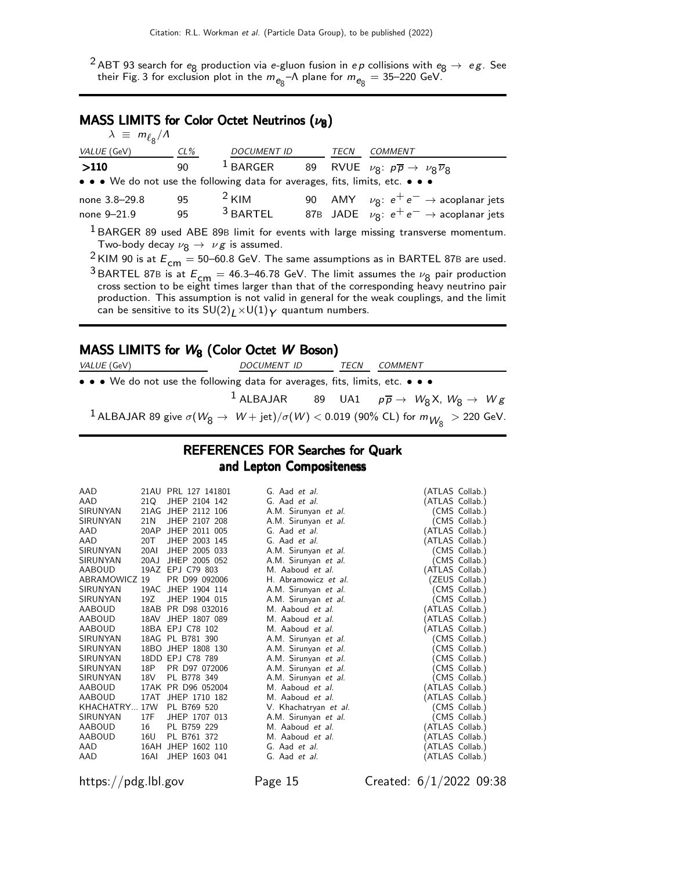<sup>2</sup> ABT 93 search for  $e_8$  production via e-gluon fusion in ep collisions with  $e_8 \rightarrow e \, g$ . See their Fig. 3 for exclusion plot in the  $m_{\mathbb{e}_8}$ – $\Lambda$  plane for  $m_{\mathbb{e}_8}=$  35–220 GeV.

## MASS LIMITS for Color Octet Neutrinos  $(\nu_8)$

| $\lambda \equiv m_{\ell_{\rm B}}/\Lambda$ |        |                                                                               |      |                                                                                                      |
|-------------------------------------------|--------|-------------------------------------------------------------------------------|------|------------------------------------------------------------------------------------------------------|
| VALUE (GeV)                               | $CL\%$ | <b>DOCUMENT ID</b>                                                            | TECN | COMMENT                                                                                              |
| >110                                      | 90     | $1$ BARGER                                                                    |      | 89 RVUE $\nu_{\mathsf{S}}$ : $p\overline{p} \rightarrow \nu_{\mathsf{S}}\overline{\nu}_{\mathsf{S}}$ |
|                                           |        | • • • We do not use the following data for averages, fits, limits, etc. • • • |      |                                                                                                      |
| none 3.8-29.8                             | 95     | $2$ KIM                                                                       |      | 90 AMY $\nu_{8}: e^{+}e^{-} \rightarrow$ acoplanar jets                                              |
| none 9-21.9                               | 95     | $3$ BARTEL                                                                    |      | 87B JADE $\nu_{\mathsf{R}}$ : $e^+e^- \rightarrow$ acoplanar jets                                    |
|                                           |        |                                                                               |      | <sup>1</sup> BARGER 89 used ABE 89B limit for events with large missing transverse momentum.         |

Two-body decay  $\nu_{8} \rightarrow \nu_{8}$  is assumed.

<sup>2</sup> KIM 90 is at  $E_{cm} = 50$ –60.8 GeV. The same assumptions as in BARTEL 87B are used.

<sup>3</sup> BARTEL 87B is at  $E_{\text{cm}} = 46.3$ –46.78 GeV. The limit assumes the  $\nu_8$  pair production cross section to be eight times larger than that of the corresponding heavy neutrino pair production. This assumption is not valid in general for the weak couplings, and the limit can be sensitive to its  $SU(2)_L \times U(1)_Y$  quantum numbers.

#### MASS LIMITS for  $W_8$  (Color Octet W Boson)

| <i>VALUE</i> (GeV)                                                                                                | DOCUMENT ID                                                                        | TECN | COMMENT |  |
|-------------------------------------------------------------------------------------------------------------------|------------------------------------------------------------------------------------|------|---------|--|
| • • • We do not use the following data for averages, fits, limits, etc. • • •                                     |                                                                                    |      |         |  |
|                                                                                                                   | <sup>1</sup> ALBAJAR 89 UA1 $p\overline{p} \rightarrow W_8 X, W_8 \rightarrow W g$ |      |         |  |
| <sup>1</sup> ALBAJAR 89 give $\sigma(W_8 \to W + \text{jet})/\sigma(W) < 0.019$ (90% CL) for $m_{W_8} > 220$ GeV. |                                                                                    |      |         |  |

## REFERENCES FOR Searches for Quark and Lepton Compositeness

| AAD<br>AAD<br>SIRUNYAN<br>SIRUNYAN<br>AAD<br>AAD<br>SIRUNYAN<br>SIRUNYAN<br>AABOUD<br>ABRAMOWICZ 19<br>SIRUNYAN<br>SIRUNYAN<br>AABOUD<br>AABOUD<br><b>AABOUD</b><br>SIRUNYAN<br>SIRUNYAN<br>SIRUNYAN<br>SIRUNYAN<br><b>SIRUNYAN</b><br>AABOUD<br>AABOUD<br>KHACHATRY 17W<br>SIRUNYAN<br>AABOUD | 21Q<br>21AG<br>21N<br>20AP<br>20T<br>20AI<br>20AJ<br>19AZ<br>19AC<br>19Z<br>18AB<br>18AV<br>18P<br>18V<br>17AK<br>17AT<br>17F<br>16 | 21AU PRL 127 141801<br>JHEP 2104 142<br>JHEP 2112 106<br>JHEP 2107 208<br>JHEP 2011 005<br>JHEP 2003 145<br>JHEP 2005 033<br>JHEP 2005 052<br>EPJ C79 803<br>PR D99 092006<br>JHEP 1904 114<br>JHEP 1904 015<br>PR D98 032016<br>JHEP 1807 089<br>18BA EPJ C78 102<br>18AG PL B781 390<br>18BO JHEP 1808 130<br>18DD EPJ C78 789<br>PR D97 072006<br>PL B778 349<br>PR D96 052004<br>JHEP 1710 182<br>PL B769 520<br>JHEP 1707 013<br>PL B759 229 | G. Aad et al.<br>G. Aad et al.<br>A.M. Sirunyan et al.<br>A.M. Sirunyan et al.<br>G. Aad et al.<br>G. Aad et al.<br>A.M. Sirunyan et al.<br>A.M. Sirunyan et al.<br>M. Aaboud et al.<br>H. Abramowicz et al.<br>A.M. Sirunyan et al.<br>A.M. Sirunyan et al.<br>M. Aaboud et al.<br>M. Aaboud et al.<br>M. Aaboud et al.<br>A.M. Sirunyan et al.<br>A.M. Sirunyan et al.<br>A.M. Sirunyan et al.<br>A.M. Sirunyan et al.<br>A.M. Sirunyan et al.<br>M. Aaboud et al.<br>M. Aaboud et al.<br>V. Khachatryan et al.<br>A.M. Sirunyan et al.<br>M. Aaboud et al. | (ATLAS Collab.)<br>(ATLAS Collab.)<br>(ATLAS Collab.)<br>(ATLAS Collab.)<br>(ATLAS Collab.)<br>(ATLAS Collab.)<br>ATLAS Collab.)<br>(ATLAS Collab.)<br>(ATLAS Collab.)<br>(ATLAS Collab.)<br>(ATLAS Collab.) | (CMS Collab.)<br>(CMS Collab.)<br>(CMS Collab.)<br>(CMS Collab.)<br>(ZEUS Collab.)<br>CMS Collab.)<br>(CMS Collab.)<br>CMS Collab.)<br>CMS Collab.)<br>CMS Collab.)<br>CMS Collab.)<br>(CMS Collab.)<br>(CMS Collab.)<br>(CMS Collab.) |
|------------------------------------------------------------------------------------------------------------------------------------------------------------------------------------------------------------------------------------------------------------------------------------------------|-------------------------------------------------------------------------------------------------------------------------------------|---------------------------------------------------------------------------------------------------------------------------------------------------------------------------------------------------------------------------------------------------------------------------------------------------------------------------------------------------------------------------------------------------------------------------------------------------|---------------------------------------------------------------------------------------------------------------------------------------------------------------------------------------------------------------------------------------------------------------------------------------------------------------------------------------------------------------------------------------------------------------------------------------------------------------------------------------------------------------------------------------------------------------|--------------------------------------------------------------------------------------------------------------------------------------------------------------------------------------------------------------|----------------------------------------------------------------------------------------------------------------------------------------------------------------------------------------------------------------------------------------|
| <b>AABOUD</b>                                                                                                                                                                                                                                                                                  | 16U                                                                                                                                 | PL B761 372                                                                                                                                                                                                                                                                                                                                                                                                                                       | M. Aaboud et al.                                                                                                                                                                                                                                                                                                                                                                                                                                                                                                                                              |                                                                                                                                                                                                              | ATLAS Collab.)                                                                                                                                                                                                                         |
| AAD<br>AAD                                                                                                                                                                                                                                                                                     | 16AH<br>16AI                                                                                                                        | JHEP 1602 110<br>JHEP 1603 041                                                                                                                                                                                                                                                                                                                                                                                                                    | G. Aad et al.<br>G. Aad et al.                                                                                                                                                                                                                                                                                                                                                                                                                                                                                                                                | (ATLAS Collab.)                                                                                                                                                                                              | ATLAS Collab.)                                                                                                                                                                                                                         |

https://pdg.lbl.gov Page 15 Created: 6/1/2022 09:38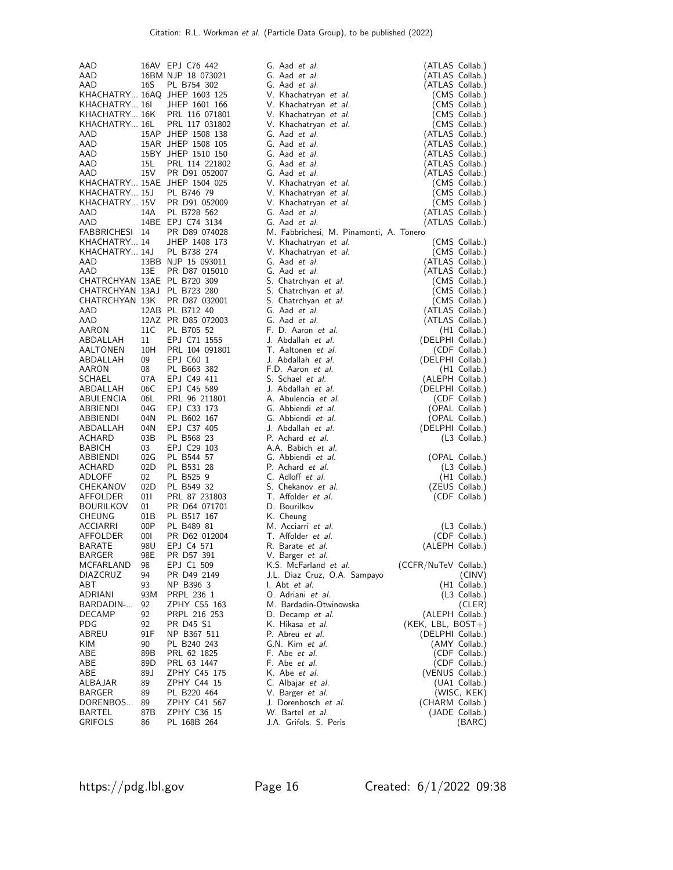| AAD                                           |           | 16AV EPJ C76 442                         | G. Aad et al.                             | (ATLAS Collab.)                    |                        |
|-----------------------------------------------|-----------|------------------------------------------|-------------------------------------------|------------------------------------|------------------------|
| AAD                                           |           | 16BM NJP 18 073021                       | G. Aad et al.                             | (ATLAS Collab.)                    |                        |
| AAD                                           | 16S       | PL B754 302                              | G. Aad et al.                             | (ATLAS Collab.)                    |                        |
|                                               |           | KHACHATRY 16AQ JHEP 1603 125             | V. Khachatryan et al.                     |                                    | (CMS Collab.)          |
| KHACHATRY 16I                                 |           | JHEP 1601 166                            | V. Khachatryan et al.                     |                                    | (CMS Collab.)          |
| KHACHATRY 16K                                 |           | PRL 116 071801                           | V. Khachatryan et al.                     |                                    | (CMS Collab.)          |
| KHACHATRY 16L                                 |           | PRL 117 031802                           | V. Khachatryan et al.                     |                                    | (CMS Collab.)          |
| AAD                                           |           | 15AP JHEP 1508 138                       | G. Aad et al.                             | (ATLAS Collab.)                    |                        |
| AAD<br>AAD                                    |           | 15AR JHEP 1508 105<br>15BY JHEP 1510 150 | G. Aad et al.<br>G. Aad et al.            | (ATLAS Collab.)<br>(ATLAS Collab.) |                        |
| AAD                                           | 15L       | PRL 114 221802                           | G. Aad et al.                             | (ATLAS Collab.)                    |                        |
| AAD                                           | 15V       | PR D91 052007                            | G. Aad et al.                             | (ATLAS Collab.)                    |                        |
|                                               |           | KHACHATRY 15AE JHEP 1504 025             | V. Khachatryan et al.                     |                                    | (CMS Collab.)          |
| KHACHATRY 15J                                 |           | PL B746 79                               | V. Khachatryan et al.                     |                                    | (CMS Collab.)          |
| KHACHATRY 15V                                 |           | PR D91 052009                            | V. Khachatryan et al.                     |                                    | (CMS Collab.)          |
| AAD                                           | 14A       | PL B728 562                              | G. Aad <i>et al.</i>                      | (ATLAS Collab.)                    |                        |
| AAD                                           |           | 14BE EPJ C74 3134                        | G. Aad et al.                             | (ATLAS Collab.)                    |                        |
| FABBRICHESI 14                                |           | PR D89 074028                            | M. Fabbrichesi, M. Pinamonti, A. Tonero   |                                    |                        |
| KHACHATRY 14                                  |           | JHEP 1408 173                            | V. Khachatryan et al.                     |                                    | (CMS Collab.)          |
| KHACHATRY 14J                                 |           | PL B738 274                              | V. Khachatryan et al.                     |                                    | (CMS Collab.)          |
| AAD                                           |           | 13BB NJP 15 093011                       | G. Aad et al.                             | (ATLAS Collab.)                    |                        |
| AAD                                           | 13E       | PR D87 015010                            | G. Aad et al.                             | (ATLAS Collab.)                    |                        |
| CHATRCHYAN 13AE PL B720 309                   |           |                                          | S. Chatrchyan et al.                      |                                    | (CMS Collab.)          |
| CHATRCHYAN 13AJ PL B723 280<br>CHATRCHYAN 13K |           |                                          | S. Chatrchyan et al.                      |                                    | (CMS Collab.)          |
| AAD                                           |           | PR D87 032001<br>12AB PL B712 40         | S. Chatrchyan et al.<br>G. Aad et al.     |                                    | (CMS Collab.)          |
| AAD                                           |           | 12AZ PR D85 072003                       | G. Aad et al.                             | (ATLAS Collab.)<br>(ATLAS Collab.) |                        |
| AARON                                         | 11C       | PL B705 52                               | F. D. Aaron et al.                        |                                    | (H1 Collab.)           |
| ABDALLAH                                      | 11        | EPJ C71 1555                             | J. Abdallah et al.                        | (DELPHI Collab.)                   |                        |
| AALTONEN                                      | 10H       | PRL 104 091801                           | T. Aaltonen et al.                        |                                    | (CDF Collab.)          |
| ABDALLAH                                      | 09        | EPJ C60 1                                | J. Abdallah et al.                        | (DELPHI Collab.)                   |                        |
| AARON                                         | 08        | PL B663 382                              | F.D. Aaron et al.                         |                                    | $(H1$ Collab.)         |
| SCHAEL                                        | 07A       | EPJ C49 411                              | S. Schael et al.                          | (ALEPH Collab.)                    |                        |
| ABDALLAH                                      | 06C       | EPJ C45 589                              | J. Abdallah et al.                        | (DELPHI Collab.)                   |                        |
| ABULENCIA                                     | 06L       | PRL 96 211801                            | A. Abulencia et al.                       |                                    | (CDF Collab.)          |
| ABBIENDI                                      | 04G       | EPJ C33 173                              | G. Abbiendi et al.                        |                                    | (OPAL Collab.)         |
| ABBIENDI                                      | 04N       | PL B602 167                              | G. Abbiendi et al.                        |                                    | (OPAL Collab.)         |
| ABDALLAH                                      | 04N       | EPJ C37 405                              | J. Abdallah et al.                        | (DELPHI Collab.)                   |                        |
| ACHARD<br><b>BABICH</b>                       | 03B<br>03 | PL B568 23<br>EPJ C29 103                | P. Achard et al.<br>A.A. Babich et al.    |                                    | (L3 Collab.)           |
| ABBIENDI                                      | 02G       | PL B544 57                               | G. Abbiendi et al.                        |                                    | (OPAL Collab.)         |
| ACHARD                                        | 02D       | PL B531 28                               | P. Achard et al.                          |                                    | (L3 Collab.)           |
| ADLOFF                                        | 02        | PL B525 9                                | C. Adloff et al.                          |                                    | (H1 Collab.)           |
| CHEKANOV                                      | 02D       | PL B549 32                               | S. Chekanov et al.                        |                                    | (ZEUS Collab.)         |
| AFFOLDER                                      | 011       | PRL 87 231803                            | T. Affolder et al.                        |                                    | (CDF Collab.)          |
| BOURILKOV                                     | 01        | PR D64 071701                            | D. Bourilkov                              |                                    |                        |
| CHEUNG                                        | 01B       | PL B517 167                              | K. Cheung                                 |                                    |                        |
| ACCIARRI                                      | 00P       | PL B489 81                               | M. Acciarri et al.                        |                                    | $(L3$ Collab.)         |
| AFFOLDER                                      | 001       | PR D62 012004                            | T. Affolder et al.                        |                                    | (CDF Collab.)          |
| BARATE                                        | 98U       | EPJ C4 571                               | R. Barate et al.                          | (ALEPH Collab.)                    |                        |
| BARGER                                        | 98E       | PR D57 391                               | V. Barger <i>et al.</i>                   |                                    |                        |
| MCFARLAND                                     | 98        | EPJ C1 509                               | K.S. McFarland et al.                     | (CCFR/NuTeV Collab.)               |                        |
| DIAZCRUZ<br>ABT                               | 94<br>93  | PR D49 2149<br>NP B396 3                 | J.L. Diaz Cruz, O.A. Sampayo              |                                    | (CINV)<br>(H1 Collab.) |
| ADRIANI                                       | 93M       | PRPL 236 1                               | I. Abt <i>et al.</i><br>O. Adriani et al. |                                    | $(L3$ Collab.)         |
| BARDADIN-                                     | 92        | ZPHY C55 163                             | M. Bardadin-Otwinowska                    |                                    | (CLER)                 |
| DECAMP                                        | 92        | PRPL 216 253                             | D. Decamp et al.                          | (ALEPH Collab.)                    |                        |
| PDG                                           | 92        | PR D45 S1                                | K. Hikasa <i>et al.</i>                   | (KEK, LBL, BOST+)                  |                        |
| ABREU                                         | 91F       | NP B367 511                              | P. Abreu et al.                           | (DELPHI Collab.)                   |                        |
| KIM                                           | 90        | PL B240 243                              | G.N. Kim et al.                           |                                    | (AMY Collab.)          |
| ABE                                           | 89B       | PRL 62 1825                              | F. Abe et al.                             |                                    | (CDF Collab.)          |
| ABE                                           | 89D       | PRL 63 1447                              | F. Abe <i>et al.</i>                      |                                    | (CDF Collab.)          |
| ABE                                           | 89 J      | ZPHY C45 175                             | K. Abe et al.                             | (VENUS Collab.)                    |                        |
| ALBAJAR                                       | 89        | ZPHY C44 15                              | C. Albajar et al.                         |                                    | (UA1 Collab.)          |
| BARGER                                        | 89        | PL B220 464                              | V. Barger et al.                          |                                    | (WISC, KEK)            |
| DORENBOS                                      | 89        | ZPHY C41 567                             | J. Dorenbosch et al.                      | (CHARM Collab.)                    |                        |
| BARTEL                                        | 87B       | ZPHY C36 15                              | W. Bartel <i>et al.</i>                   |                                    | (JADE Collab.)         |
| GRIFOLS                                       | 86        | PL 168B 264                              | J.A. Grifols, S. Peris                    |                                    | (BARC)                 |